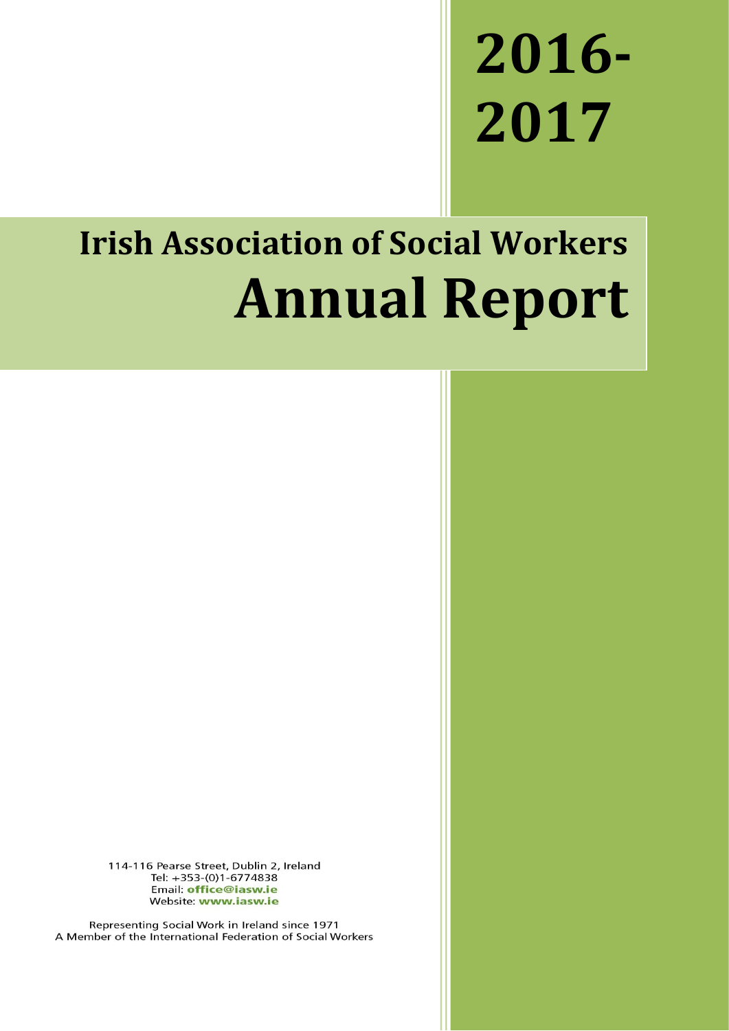# **2016- 2017**

## **Irish Association of Social Workers Annual Report**

114-116 Pearse Street, Dublin 2, Ireland Tel: +353-(0)1-6774838 Email: office@iasw.ie Website: www.iasw.ie

Representing Social Work in Ireland since 1971 A Member of the International Federation of Social Workers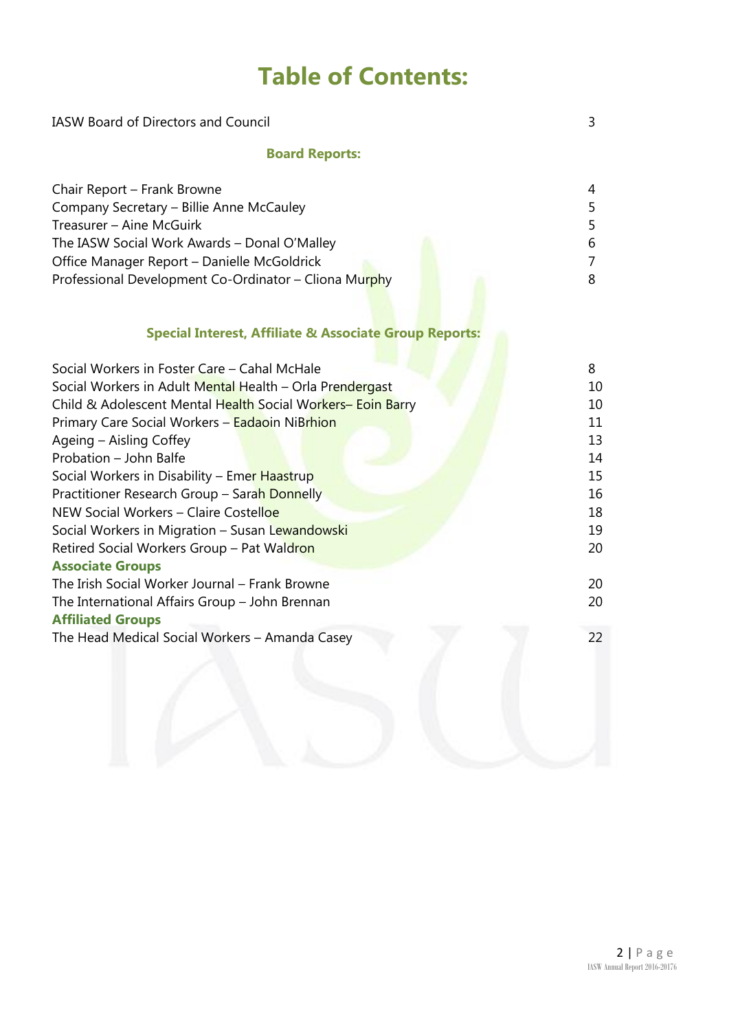## **Table of Contents:**

| <b>IASW Board of Directors and Council</b>                                                                                                                                                                                                                                                                                                                                                                                                                                                                                                                                                                                                                                                                                            |                                                                                 |  |
|---------------------------------------------------------------------------------------------------------------------------------------------------------------------------------------------------------------------------------------------------------------------------------------------------------------------------------------------------------------------------------------------------------------------------------------------------------------------------------------------------------------------------------------------------------------------------------------------------------------------------------------------------------------------------------------------------------------------------------------|---------------------------------------------------------------------------------|--|
| <b>Board Reports:</b>                                                                                                                                                                                                                                                                                                                                                                                                                                                                                                                                                                                                                                                                                                                 |                                                                                 |  |
| Chair Report - Frank Browne<br>Company Secretary - Billie Anne McCauley<br>Treasurer - Aine McGuirk<br>The IASW Social Work Awards - Donal O'Malley<br>Office Manager Report - Danielle McGoldrick<br>Professional Development Co-Ordinator - Cliona Murphy                                                                                                                                                                                                                                                                                                                                                                                                                                                                           | 4<br>5<br>5<br>6<br>$\overline{7}$<br>8                                         |  |
| <b>Special Interest, Affiliate &amp; Associate Group Reports:</b>                                                                                                                                                                                                                                                                                                                                                                                                                                                                                                                                                                                                                                                                     |                                                                                 |  |
| Social Workers in Foster Care - Cahal McHale<br>Social Workers in Adult Mental Health - Orla Prendergast<br>Child & Adolescent Mental Health Social Workers- Eoin Barry<br>Primary Care Social Workers - Eadaoin NiBrhion<br>Ageing - Aisling Coffey<br>Probation - John Balfe<br>Social Workers in Disability - Emer Haastrup<br>Practitioner Research Group - Sarah Donnelly<br>NEW Social Workers - Claire Costelloe<br>Social Workers in Migration - Susan Lewandowski<br>Retired Social Workers Group - Pat Waldron<br><b>Associate Groups</b><br>The Irish Social Worker Journal - Frank Browne<br>The International Affairs Group - John Brennan<br><b>Affiliated Groups</b><br>The Head Medical Social Workers - Amanda Casey | 8<br>10<br>10<br>11<br>13<br>14<br>15<br>16<br>18<br>19<br>20<br>20<br>20<br>22 |  |
|                                                                                                                                                                                                                                                                                                                                                                                                                                                                                                                                                                                                                                                                                                                                       |                                                                                 |  |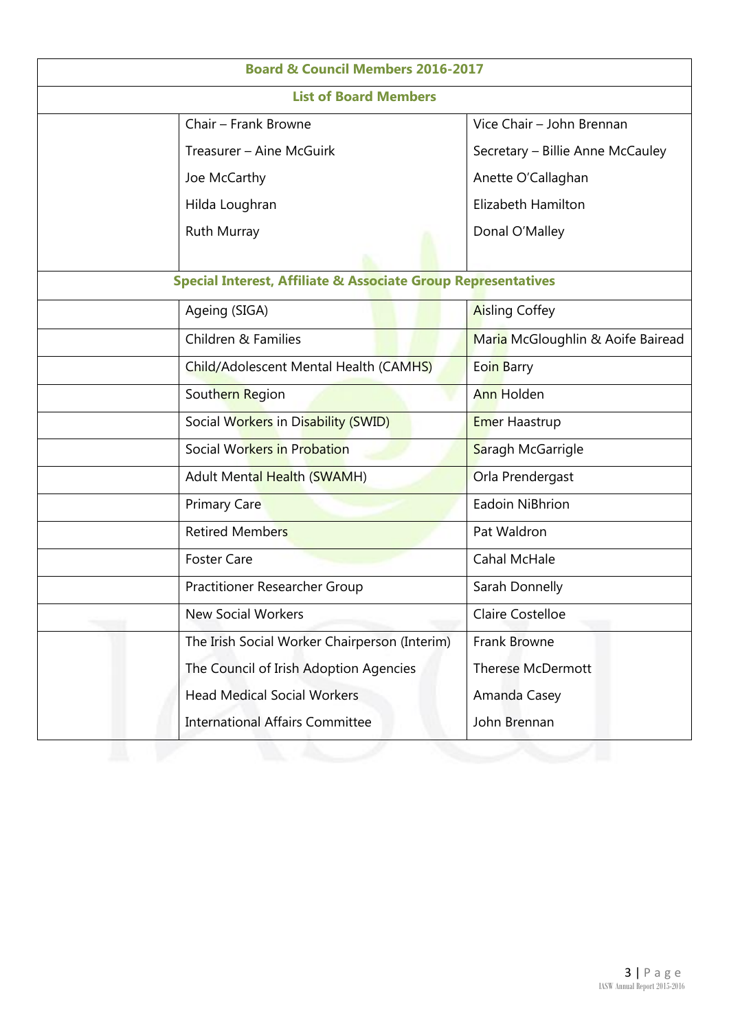| <b>Board &amp; Council Members 2016-2017</b>                             |                                               |                                   |  |  |
|--------------------------------------------------------------------------|-----------------------------------------------|-----------------------------------|--|--|
| <b>List of Board Members</b>                                             |                                               |                                   |  |  |
|                                                                          | Chair - Frank Browne                          | Vice Chair - John Brennan         |  |  |
|                                                                          | Treasurer - Aine McGuirk                      | Secretary - Billie Anne McCauley  |  |  |
|                                                                          | Joe McCarthy                                  | Anette O'Callaghan                |  |  |
|                                                                          | Hilda Loughran                                | Elizabeth Hamilton                |  |  |
|                                                                          | Ruth Murray                                   | Donal O'Malley                    |  |  |
|                                                                          |                                               |                                   |  |  |
| <b>Special Interest, Affiliate &amp; Associate Group Representatives</b> |                                               |                                   |  |  |
|                                                                          | Ageing (SIGA)                                 | <b>Aisling Coffey</b>             |  |  |
|                                                                          | Children & Families                           | Maria McGloughlin & Aoife Bairead |  |  |
|                                                                          | Child/Adolescent Mental Health (CAMHS)        | Eoin Barry                        |  |  |
|                                                                          | Southern Region                               | <b>Ann Holden</b>                 |  |  |
|                                                                          | Social Workers in Disability (SWID)           | <b>Emer Haastrup</b>              |  |  |
|                                                                          | Social Workers in Probation                   | Saragh McGarrigle                 |  |  |
|                                                                          | <b>Adult Mental Health (SWAMH)</b>            | Orla Prendergast                  |  |  |
|                                                                          | <b>Primary Care</b>                           | Eadoin NiBhrion                   |  |  |
|                                                                          | <b>Retired Members</b>                        | Pat Waldron                       |  |  |
|                                                                          | <b>Foster Care</b>                            | Cahal McHale                      |  |  |
|                                                                          | Practitioner Researcher Group                 | Sarah Donnelly                    |  |  |
|                                                                          | <b>New Social Workers</b>                     | Claire Costelloe                  |  |  |
|                                                                          | The Irish Social Worker Chairperson (Interim) | Frank Browne                      |  |  |
|                                                                          | The Council of Irish Adoption Agencies        | <b>Therese McDermott</b>          |  |  |
|                                                                          | <b>Head Medical Social Workers</b>            | Amanda Casey                      |  |  |
|                                                                          | <b>International Affairs Committee</b>        | John Brennan                      |  |  |
|                                                                          |                                               |                                   |  |  |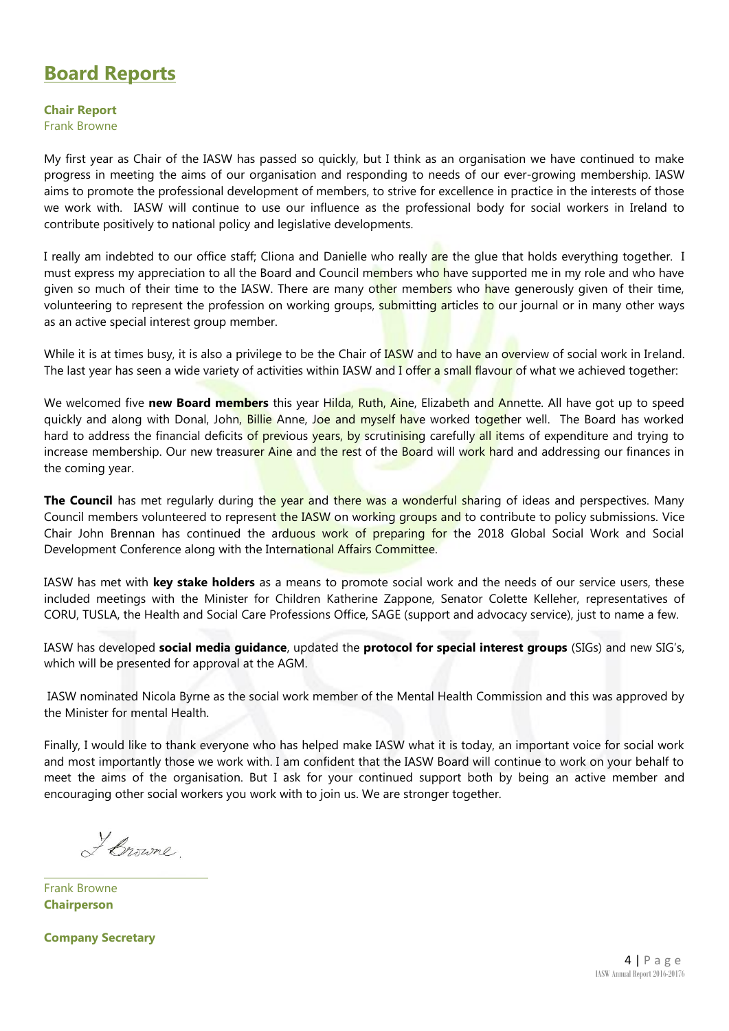## **Board Reports**

**Chair Report**

Frank Browne

My first year as Chair of the IASW has passed so quickly, but I think as an organisation we have continued to make progress in meeting the aims of our organisation and responding to needs of our ever-growing membership. IASW aims to promote the professional development of members, to strive for excellence in practice in the interests of those we work with. IASW will continue to use our influence as the professional body for social workers in Ireland to contribute positively to national policy and legislative developments.

I really am indebted to our office staff; Cliona and Danielle who really are the glue that holds everything together. I must express my appreciation to all the Board and Council members who have supported me in my role and who have given so much of their time to the IASW. There are many other members who have generously given of their time, volunteering to represent the profession on working groups, submitting articles to our journal or in many other ways as an active special interest group member.

While it is at times busy, it is also a privilege to be the Chair of **IASW** and to have an overview of social work in Ireland. The last year has seen a wide variety of activities within IASW and I offer a small flavour of what we achieved together:

We welcomed five **new Board members** this year Hilda, Ruth, Aine, Elizabeth and Annette. All have got up to speed quickly and along with Donal, John, Billie Anne, Joe and myself have worked together well. The Board has worked hard to address the financial deficits of previous years, by scrutinising carefully all items of expenditure and trying to increase membership. Our new treasurer Aine and the rest of the Board will work hard and addressing our finances in the coming year.

**The Council** has met regularly during the year and there was a wonderful sharing of ideas and perspectives. Many Council members volunteered to represent the IASW on working groups and to contribute to policy submissions. Vice Chair John Brennan has continued the arduous work of preparing for the 2018 Global Social Work and Social Development Conference along with the International Affairs Committee.

IASW has met with **key stake holders** as a means to promote social work and the needs of our service users, these included meetings with the Minister for Children Katherine Zappone, Senator Colette Kelleher, representatives of CORU, TUSLA, the Health and Social Care Professions Office, SAGE (support and advocacy service), just to name a few.

IASW has developed **social media guidance**, updated the **protocol for special interest groups** (SIGs) and new SIG's, which will be presented for approval at the AGM.

IASW nominated Nicola Byrne as the social work member of the Mental Health Commission and this was approved by the Minister for mental Health.

Finally, I would like to thank everyone who has helped make IASW what it is today, an important voice for social work and most importantly those we work with. I am confident that the IASW Board will continue to work on your behalf to meet the aims of the organisation. But I ask for your continued support both by being an active member and encouraging other social workers you work with to join us. We are stronger together.

Leroune

Frank Browne **Chairperson**

**Company Secretary**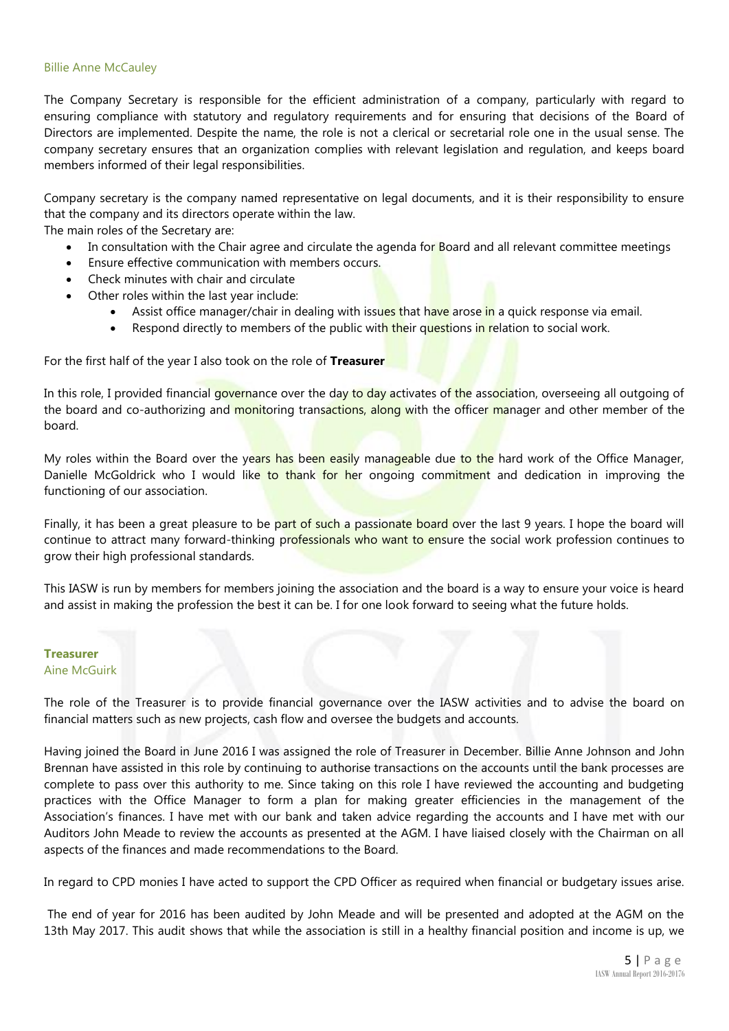#### Billie Anne McCauley

The Company Secretary is responsible for the efficient administration of a company, particularly with regard to ensuring compliance with statutory and regulatory requirements and for ensuring that decisions of the Board of Directors are implemented. Despite the name, the role is not a clerical or secretarial role one in the usual sense. The company secretary ensures that an organization complies with relevant legislation and regulation, and keeps board members informed of their legal responsibilities.

Company secretary is the company named representative on legal documents, and it is their responsibility to ensure that the company and its directors operate within the law.

The main roles of the Secretary are:

- In consultation with the Chair agree and circulate the agenda for Board and all relevant committee meetings
- Ensure effective communication with members occurs.
- Check minutes with chair and circulate
- Other roles within the last year include:
	- Assist office manager/chair in dealing with issues that have arose in a quick response via email.
	- Respond directly to members of the public with their questions in relation to social work.

For the first half of the year I also took on the role of **Treasurer** 

In this role, I provided financial governance over the day to day activates of the association, overseeing all outgoing of the board and co-authorizing and monitoring transactions, along with the officer manager and other member of the board.

My roles within the Board over the years has been easily manageable due to the hard work of the Office Manager, Danielle McGoldrick who I would like to thank for her ongoing commitment and dedication in improving the functioning of our association.

Finally, it has been a great pleasure to be part of such a passionate board over the last 9 years. I hope the board will continue to attract many forward-thinking professionals who want to ensure the social work profession continues to grow their high professional standards.

This IASW is run by members for members joining the association and the board is a way to ensure your voice is heard and assist in making the profession the best it can be. I for one look forward to seeing what the future holds.

#### **Treasurer** Aine McGuirk

The role of the Treasurer is to provide financial governance over the IASW activities and to advise the board on financial matters such as new projects, cash flow and oversee the budgets and accounts.

Having joined the Board in June 2016 I was assigned the role of Treasurer in December. Billie Anne Johnson and John Brennan have assisted in this role by continuing to authorise transactions on the accounts until the bank processes are complete to pass over this authority to me. Since taking on this role I have reviewed the accounting and budgeting practices with the Office Manager to form a plan for making greater efficiencies in the management of the Association's finances. I have met with our bank and taken advice regarding the accounts and I have met with our Auditors John Meade to review the accounts as presented at the AGM. I have liaised closely with the Chairman on all aspects of the finances and made recommendations to the Board.

In regard to CPD monies I have acted to support the CPD Officer as required when financial or budgetary issues arise.

The end of year for 2016 has been audited by John Meade and will be presented and adopted at the AGM on the 13th May 2017. This audit shows that while the association is still in a healthy financial position and income is up, we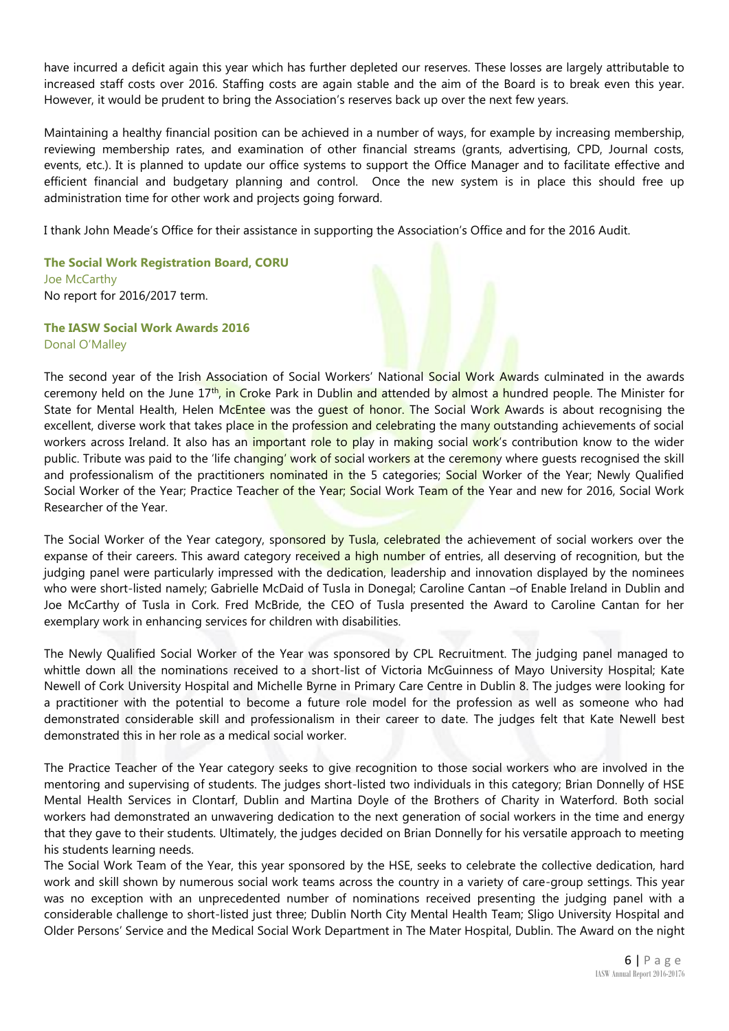have incurred a deficit again this year which has further depleted our reserves. These losses are largely attributable to increased staff costs over 2016. Staffing costs are again stable and the aim of the Board is to break even this year. However, it would be prudent to bring the Association's reserves back up over the next few years.

Maintaining a healthy financial position can be achieved in a number of ways, for example by increasing membership, reviewing membership rates, and examination of other financial streams (grants, advertising, CPD, Journal costs, events, etc.). It is planned to update our office systems to support the Office Manager and to facilitate effective and efficient financial and budgetary planning and control. Once the new system is in place this should free up administration time for other work and projects going forward.

I thank John Meade's Office for their assistance in supporting the Association's Office and for the 2016 Audit.

**The Social Work Registration Board, CORU** Joe McCarthy No report for 2016/2017 term.

**The IASW Social Work Awards 2016** Donal O'Malley

The second year of the Irish Association of Social Workers' National Social Work Awards culminated in the awards ceremony held on the June 17<sup>th</sup>, in Croke Park in Dublin and attended by almost a hundred people. The Minister for State for Mental Health, Helen McEntee was the quest of honor. The Social Work Awards is about recognising the excellent, diverse work that takes place in the profession and celebrating the many outstanding achievements of social workers across Ireland. It also has an *important role to play* in making social work's contribution know to the wider public. Tribute was paid to the 'life changing' work of social workers at the ceremony where quests recognised the skill and professionalism of the practitioners nominated in the 5 categories; Social Worker of the Year; Newly Qualified Social Worker of the Year; Practice Teacher of the Year; Social Work Team of the Year and new for 2016, Social Work Researcher of the Year.

The Social Worker of the Year category, sponsored by Tusla, celebrated the achievement of social workers over the expanse of their careers. This award category received a high number of entries, all deserving of recognition, but the judging panel were particularly impressed with the dedication, leadership and innovation displayed by the nominees who were short-listed namely; Gabrielle McDaid of Tusla in Donegal; Caroline Cantan –of Enable Ireland in Dublin and Joe McCarthy of Tusla in Cork. Fred McBride, the CEO of Tusla presented the Award to Caroline Cantan for her exemplary work in enhancing services for children with disabilities.

The Newly Qualified Social Worker of the Year was sponsored by CPL Recruitment. The judging panel managed to whittle down all the nominations received to a short-list of Victoria McGuinness of Mayo University Hospital; Kate Newell of Cork University Hospital and Michelle Byrne in Primary Care Centre in Dublin 8. The judges were looking for a practitioner with the potential to become a future role model for the profession as well as someone who had demonstrated considerable skill and professionalism in their career to date. The judges felt that Kate Newell best demonstrated this in her role as a medical social worker.

The Practice Teacher of the Year category seeks to give recognition to those social workers who are involved in the mentoring and supervising of students. The judges short-listed two individuals in this category; Brian Donnelly of HSE Mental Health Services in Clontarf, Dublin and Martina Doyle of the Brothers of Charity in Waterford. Both social workers had demonstrated an unwavering dedication to the next generation of social workers in the time and energy that they gave to their students. Ultimately, the judges decided on Brian Donnelly for his versatile approach to meeting his students learning needs.

The Social Work Team of the Year, this year sponsored by the HSE, seeks to celebrate the collective dedication, hard work and skill shown by numerous social work teams across the country in a variety of care-group settings. This year was no exception with an unprecedented number of nominations received presenting the judging panel with a considerable challenge to short-listed just three; Dublin North City Mental Health Team; Sligo University Hospital and Older Persons' Service and the Medical Social Work Department in The Mater Hospital, Dublin. The Award on the night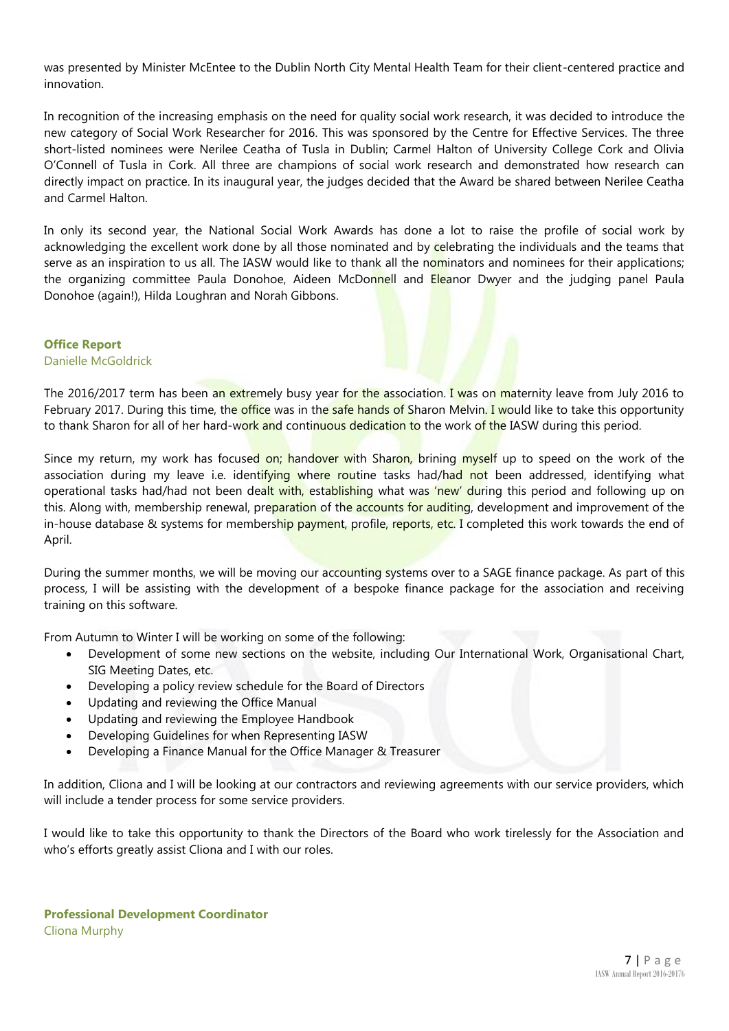was presented by Minister McEntee to the Dublin North City Mental Health Team for their client-centered practice and innovation.

In recognition of the increasing emphasis on the need for quality social work research, it was decided to introduce the new category of Social Work Researcher for 2016. This was sponsored by the Centre for Effective Services. The three short-listed nominees were Nerilee Ceatha of Tusla in Dublin; Carmel Halton of University College Cork and Olivia O'Connell of Tusla in Cork. All three are champions of social work research and demonstrated how research can directly impact on practice. In its inaugural year, the judges decided that the Award be shared between Nerilee Ceatha and Carmel Halton.

In only its second year, the National Social Work Awards has done a lot to raise the profile of social work by acknowledging the excellent work done by all those nominated and by celebrating the individuals and the teams that serve as an inspiration to us all. The IASW would like to thank all the nominators and nominees for their applications; the organizing committee Paula Donohoe, Aideen McDonnell and Eleanor Dwyer and the judging panel Paula Donohoe (again!), Hilda Loughran and Norah Gibbons.

#### **Office Report**

Danielle McGoldrick

The 2016/2017 term has been an extremely busy year for the association. I was on maternity leave from July 2016 to February 2017. During this time, the office was in the safe hands of Sharon Melvin. I would like to take this opportunity to thank Sharon for all of her hard-work and continuous dedication to the work of the IASW during this period.

Since my return, my work has focused on; handover with Sharon, brining myself up to speed on the work of the association during my leave i.e. identifying where routine tasks had/had not been addressed, identifying what operational tasks had/had not been dealt with, establishing what was 'new' during this period and following up on this. Along with, membership renewal, preparation of the accounts for auditing, development and improvement of the in-house database & systems for membership payment, profile, reports, etc. I completed this work towards the end of April.

During the summer months, we will be moving our accounting systems over to a SAGE finance package. As part of this process, I will be assisting with the development of a bespoke finance package for the association and receiving training on this software.

From Autumn to Winter I will be working on some of the following:

- Development of some new sections on the website, including Our International Work, Organisational Chart, SIG Meeting Dates, etc.
- Developing a policy review schedule for the Board of Directors
- Updating and reviewing the Office Manual
- Updating and reviewing the Employee Handbook
- Developing Guidelines for when Representing IASW
- Developing a Finance Manual for the Office Manager & Treasurer

In addition, Cliona and I will be looking at our contractors and reviewing agreements with our service providers, which will include a tender process for some service providers.

I would like to take this opportunity to thank the Directors of the Board who work tirelessly for the Association and who's efforts greatly assist Cliona and I with our roles.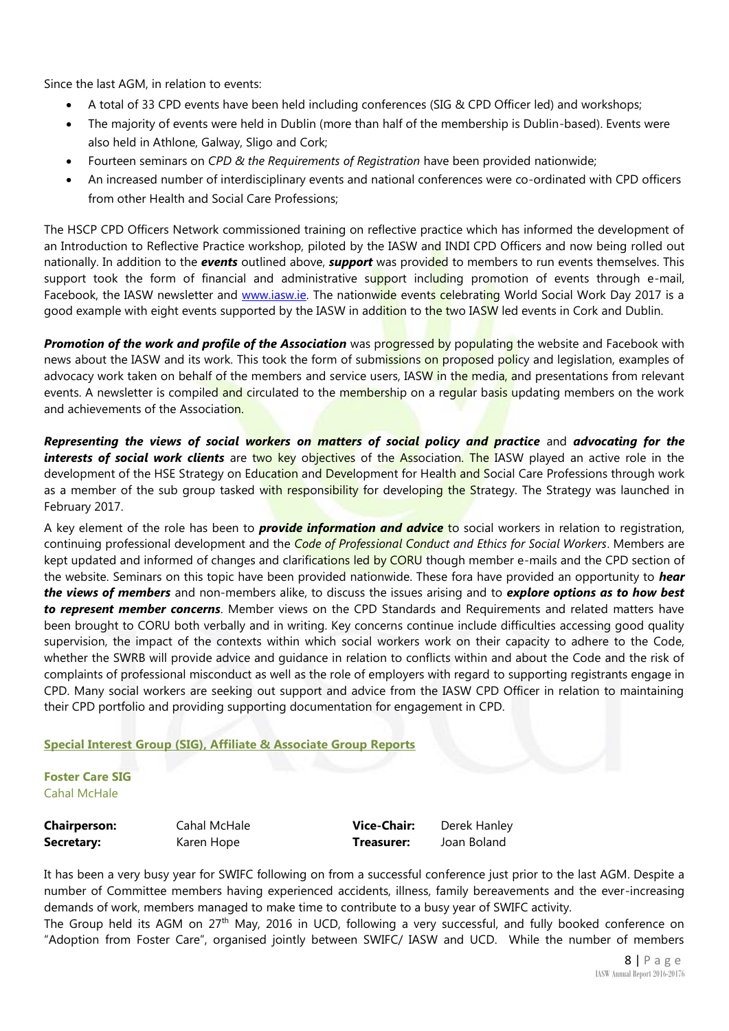Since the last AGM, in relation to events:

- A total of 33 CPD events have been held including conferences (SIG & CPD Officer led) and workshops;
- The majority of events were held in Dublin (more than half of the membership is Dublin-based). Events were also held in Athlone, Galway, Sligo and Cork;
- Fourteen seminars on *CPD & the Requirements of Registration* have been provided nationwide;
- An increased number of interdisciplinary events and national conferences were co-ordinated with CPD officers from other Health and Social Care Professions;

The HSCP CPD Officers Network commissioned training on reflective practice which has informed the development of an Introduction to Reflective Practice workshop, piloted by the IASW and INDI CPD Officers and now being rolled out nationally. In addition to the *events* outlined above, *support* was provided to members to run events themselves. This support took the form of financial and administrative support including promotion of events through e-mail, Facebook, the IASW newsletter and [www.iasw.ie.](http://www.iasw.ie/) The nationwide events celebrating World Social Work Day 2017 is a good example with eight events supported by the IASW in addition to the two IASW led events in Cork and Dublin.

**Promotion of the work and profile of the Association** was progressed by populating the website and Facebook with news about the IASW and its work. This took the form of submissions on proposed policy and legislation, examples of advocacy work taken on behalf of the members and service users, IASW in the media, and presentations from relevant events. A newsletter is compiled and circulated to the membership on a regular basis updating members on the work and achievements of the Association.

*Representing the views of social workers on matters of social policy and practice* and *advocating for the interests of social work clients* are two key objectives of the Association. The IASW played an active role in the development of the HSE Strategy on Education and Development for Health and Social Care Professions through work as a member of the sub group tasked with responsibility for developing the Strategy. The Strategy was launched in February 2017.

A key element of the role has been to *provide information and advice* to social workers in relation to registration, continuing professional development and the *Code of Professional Conduct and Ethics for Social Workers*. Members are kept updated and informed of changes and clarifications led by CORU though member e-mails and the CPD section of the website. Seminars on this topic have been provided nationwide. These fora have provided an opportunity to *hear the views of members* and non-members alike, to discuss the issues arising and to *explore options as to how best to represent member concerns*. Member views on the CPD Standards and Requirements and related matters have been brought to CORU both verbally and in writing. Key concerns continue include difficulties accessing good quality supervision, the impact of the contexts within which social workers work on their capacity to adhere to the Code, whether the SWRB will provide advice and guidance in relation to conflicts within and about the Code and the risk of complaints of professional misconduct as well as the role of employers with regard to supporting registrants engage in CPD. Many social workers are seeking out support and advice from the IASW CPD Officer in relation to maintaining their CPD portfolio and providing supporting documentation for engagement in CPD.

#### **Special Interest Group (SIG), Affiliate & Associate Group Reports**

**Foster Care SIG** Cahal McHale

| <b>Chairperson:</b> | Cahal McHale | <b>Vice-Chair:</b> | Derek Hanley |
|---------------------|--------------|--------------------|--------------|
| Secretary:          | Karen Hope   | Treasurer:         | Joan Boland  |

It has been a very busy year for SWIFC following on from a successful conference just prior to the last AGM. Despite a number of Committee members having experienced accidents, illness, family bereavements and the ever-increasing demands of work, members managed to make time to contribute to a busy year of SWIFC activity.

The Group held its AGM on 27<sup>th</sup> May, 2016 in UCD, following a very successful, and fully booked conference on "Adoption from Foster Care", organised jointly between SWIFC/ IASW and UCD. While the number of members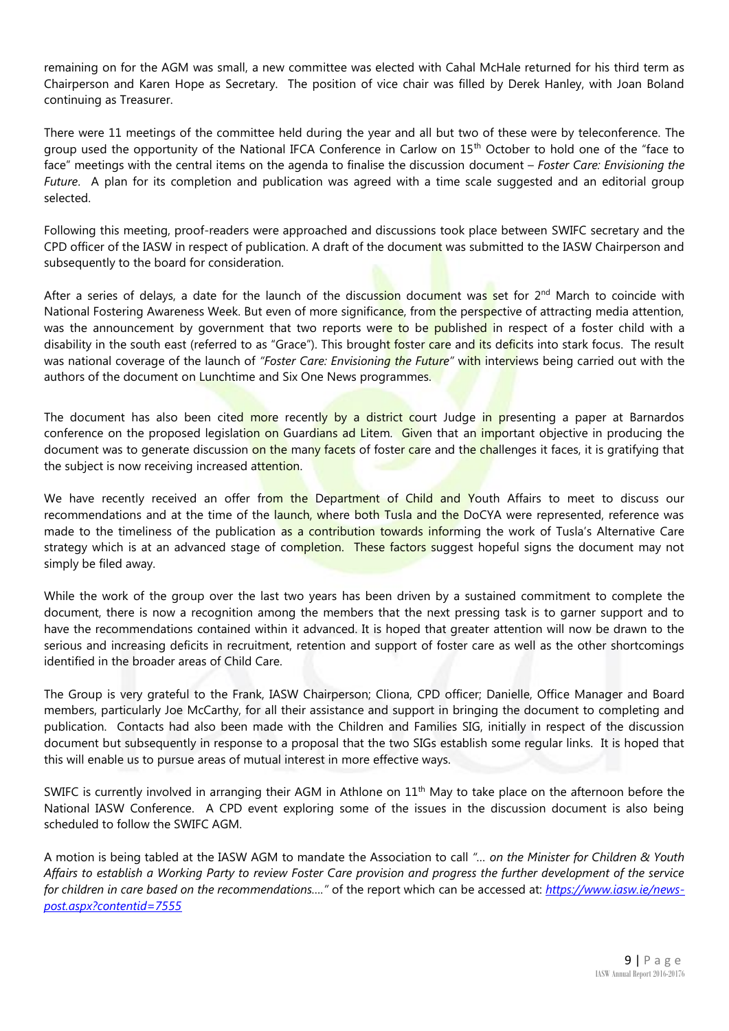remaining on for the AGM was small, a new committee was elected with Cahal McHale returned for his third term as Chairperson and Karen Hope as Secretary. The position of vice chair was filled by Derek Hanley, with Joan Boland continuing as Treasurer.

There were 11 meetings of the committee held during the year and all but two of these were by teleconference. The group used the opportunity of the National IFCA Conference in Carlow on 15<sup>th</sup> October to hold one of the "face to face" meetings with the central items on the agenda to finalise the discussion document – *Foster Care: Envisioning the Future*. A plan for its completion and publication was agreed with a time scale suggested and an editorial group selected.

Following this meeting, proof-readers were approached and discussions took place between SWIFC secretary and the CPD officer of the IASW in respect of publication. A draft of the document was submitted to the IASW Chairperson and subsequently to the board for consideration.

After a series of delays, a date for the launch of the discussion document was set for  $2^{nd}$  March to coincide with National Fostering Awareness Week. But even of more significance, from the perspective of attracting media attention, was the announcement by government that two reports were to be published in respect of a foster child with a disability in the south east (referred to as "Grace"). This brought foster care and its deficits into stark focus. The result was national coverage of the launch of *"Foster Care: Envisioning the Future"* with interviews being carried out with the authors of the document on Lunchtime and Six One News programmes.

The document has also been cited more recently by a district court Judge in presenting a paper at Barnardos conference on the proposed legislation on Guardians ad Litem. Given that an important objective in producing the document was to generate discussion on the many facets of foster care and the challenges it faces, it is gratifying that the subject is now receiving increased attention.

We have recently received an offer from the Department of Child and Youth Affairs to meet to discuss our recommendations and at the time of the launch, where both Tusla and the DoCYA were represented, reference was made to the timeliness of the publication as a contribution towards informing the work of Tusla's Alternative Care strategy which is at an advanced stage of completion. These factors suggest hopeful signs the document may not simply be filed away.

While the work of the group over the last two years has been driven by a sustained commitment to complete the document, there is now a recognition among the members that the next pressing task is to garner support and to have the recommendations contained within it advanced. It is hoped that greater attention will now be drawn to the serious and increasing deficits in recruitment, retention and support of foster care as well as the other shortcomings identified in the broader areas of Child Care.

The Group is very grateful to the Frank, IASW Chairperson; Cliona, CPD officer; Danielle, Office Manager and Board members, particularly Joe McCarthy, for all their assistance and support in bringing the document to completing and publication. Contacts had also been made with the Children and Families SIG, initially in respect of the discussion document but subsequently in response to a proposal that the two SIGs establish some regular links. It is hoped that this will enable us to pursue areas of mutual interest in more effective ways.

SWIFC is currently involved in arranging their AGM in Athlone on  $11<sup>th</sup>$  May to take place on the afternoon before the National IASW Conference. A CPD event exploring some of the issues in the discussion document is also being scheduled to follow the SWIFC AGM.

A motion is being tabled at the IASW AGM to mandate the Association to call *"… on the Minister for Children & Youth Affairs to establish a Working Party to review Foster Care provision and progress the further development of the service for children in care based on the recommendations…."* of the report which can be accessed at: *[https://www.iasw.ie/news](https://www.iasw.ie/news-post.aspx?contentid=7555)[post.aspx?contentid=7555](https://www.iasw.ie/news-post.aspx?contentid=7555)*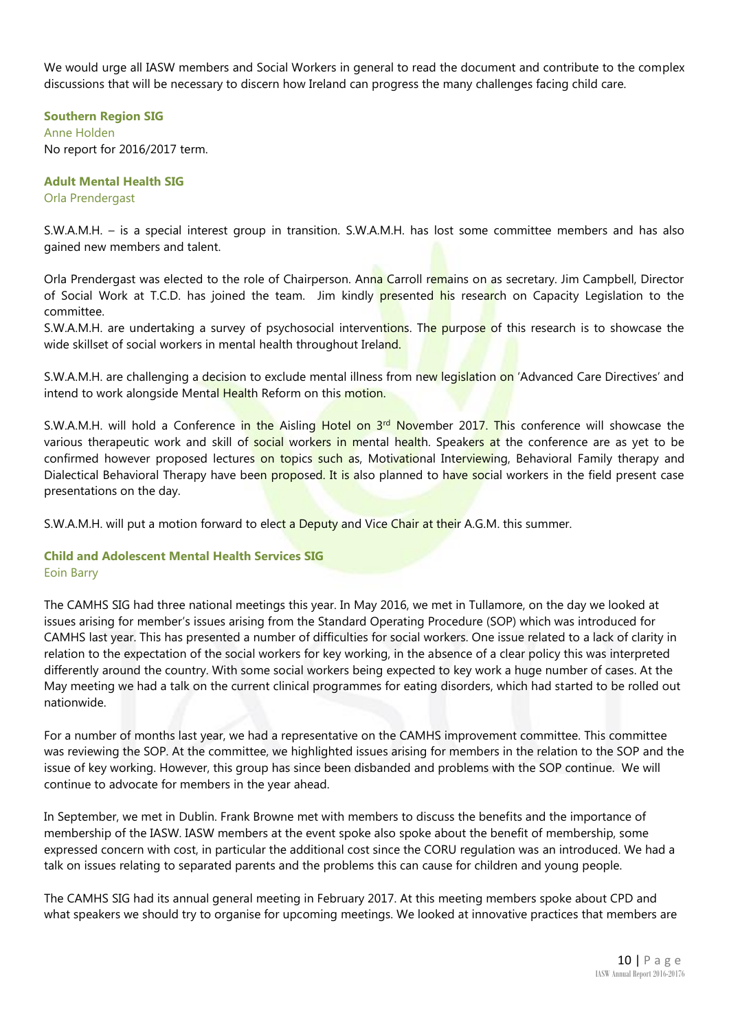We would urge all IASW members and Social Workers in general to read the document and contribute to the complex discussions that will be necessary to discern how Ireland can progress the many challenges facing child care.

**Southern Region SIG** Anne Holden No report for 2016/2017 term.

**Adult Mental Health SIG** Orla Prendergast

S.W.A.M.H. – is a special interest group in transition. S.W.A.M.H. has lost some committee members and has also gained new members and talent.

Orla Prendergast was elected to the role of Chairperson. Anna Carroll remains on as secretary. Jim Campbell, Director of Social Work at T.C.D. has joined the team. Jim kindly presented his research on Capacity Legislation to the committee.

S.W.A.M.H. are undertaking a survey of psychosocial interventions. The purpose of this research is to showcase the wide skillset of social workers in mental health throughout Ireland.

S.W.A.M.H. are challenging a decision to exclude mental illness from new legislation on 'Advanced Care Directives' and intend to work alongside Mental Health Reform on this motion.

S.W.A.M.H. will hold a Conference in the Aisling Hotel on 3<sup>rd</sup> November 2017. This conference will showcase the various therapeutic work and skill of social workers in mental health. Speakers at the conference are as yet to be confirmed however proposed lectures on topics such as, Motivational Interviewing, Behavioral Family therapy and Dialectical Behavioral Therapy have been proposed. It is also planned to have social workers in the field present case presentations on the day.

S.W.A.M.H. will put a motion forward to elect a Deputy and Vice Chair at their A.G.M. this summer.

#### **Child and Adolescent Mental Health Services SIG** Eoin Barry

The CAMHS SIG had three national meetings this year. In May 2016, we met in Tullamore, on the day we looked at issues arising for member's issues arising from the Standard Operating Procedure (SOP) which was introduced for CAMHS last year. This has presented a number of difficulties for social workers. One issue related to a lack of clarity in relation to the expectation of the social workers for key working, in the absence of a clear policy this was interpreted differently around the country. With some social workers being expected to key work a huge number of cases. At the May meeting we had a talk on the current clinical programmes for eating disorders, which had started to be rolled out nationwide.

For a number of months last year, we had a representative on the CAMHS improvement committee. This committee was reviewing the SOP. At the committee, we highlighted issues arising for members in the relation to the SOP and the issue of key working. However, this group has since been disbanded and problems with the SOP continue. We will continue to advocate for members in the year ahead.

In September, we met in Dublin. Frank Browne met with members to discuss the benefits and the importance of membership of the IASW. IASW members at the event spoke also spoke about the benefit of membership, some expressed concern with cost, in particular the additional cost since the CORU regulation was an introduced. We had a talk on issues relating to separated parents and the problems this can cause for children and young people.

The CAMHS SIG had its annual general meeting in February 2017. At this meeting members spoke about CPD and what speakers we should try to organise for upcoming meetings. We looked at innovative practices that members are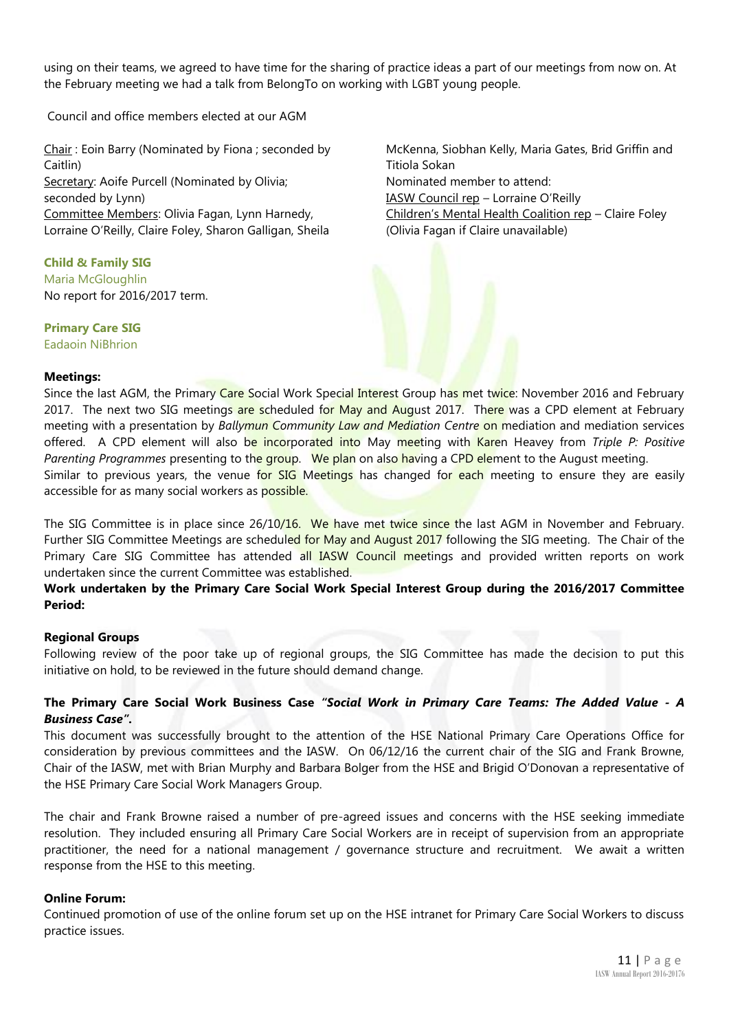using on their teams, we agreed to have time for the sharing of practice ideas a part of our meetings from now on. At the February meeting we had a talk from BelongTo on working with LGBT young people.

Council and office members elected at our AGM

Chair : Eoin Barry (Nominated by Fiona ; seconded by Caitlin) Secretary: Aoife Purcell (Nominated by Olivia; seconded by Lynn) Committee Members: Olivia Fagan, Lynn Harnedy, Lorraine O'Reilly, Claire Foley, Sharon Galligan, Sheila

**Child & Family SIG** Maria McGloughlin No report for 2016/2017 term.

**Primary Care SIG** Eadaoin NiBhrion

McKenna, Siobhan Kelly, Maria Gates, Brid Griffin and Titiola Sokan Nominated member to attend: IASW Council rep – Lorraine O'Reilly Children's Mental Health Coalition rep – Claire Foley (Olivia Fagan if Claire unavailable)

#### **Meetings:**

Since the last AGM, the Primary Care Social Work Special Interest Group has met twice: November 2016 and February 2017. The next two SIG meetings are scheduled for May and August 2017. There was a CPD element at February meeting with a presentation by *Ballymun Community Law and Mediation Centre* on mediation and mediation services offered. A CPD element will also be incorporated into May meeting with Karen Heavey from *Triple P: Positive Parenting Programmes* presenting to the group. We plan on also having a CPD element to the August meeting. Similar to previous years, the venue for SIG Meetings has changed for each meeting to ensure they are easily accessible for as many social workers as possible.

The SIG Committee is in place since 26/10/16. We have met twice since the last AGM in November and February. Further SIG Committee Meetings are scheduled for May and August 2017 following the SIG meeting. The Chair of the Primary Care SIG Committee has attended all IASW Council meetings and provided written reports on work undertaken since the current Committee was established.

#### **Work undertaken by the Primary Care Social Work Special Interest Group during the 2016/2017 Committee Period:**

#### **Regional Groups**

Following review of the poor take up of regional groups, the SIG Committee has made the decision to put this initiative on hold, to be reviewed in the future should demand change.

#### **The Primary Care Social Work Business Case** *"Social Work in Primary Care Teams: The Added Value - A Business Case".*

This document was successfully brought to the attention of the HSE National Primary Care Operations Office for consideration by previous committees and the IASW. On 06/12/16 the current chair of the SIG and Frank Browne, Chair of the IASW, met with Brian Murphy and Barbara Bolger from the HSE and Brigid O'Donovan a representative of the HSE Primary Care Social Work Managers Group.

The chair and Frank Browne raised a number of pre-agreed issues and concerns with the HSE seeking immediate resolution. They included ensuring all Primary Care Social Workers are in receipt of supervision from an appropriate practitioner, the need for a national management / governance structure and recruitment. We await a written response from the HSE to this meeting.

#### **Online Forum:**

Continued promotion of use of the online forum set up on the HSE intranet for Primary Care Social Workers to discuss practice issues.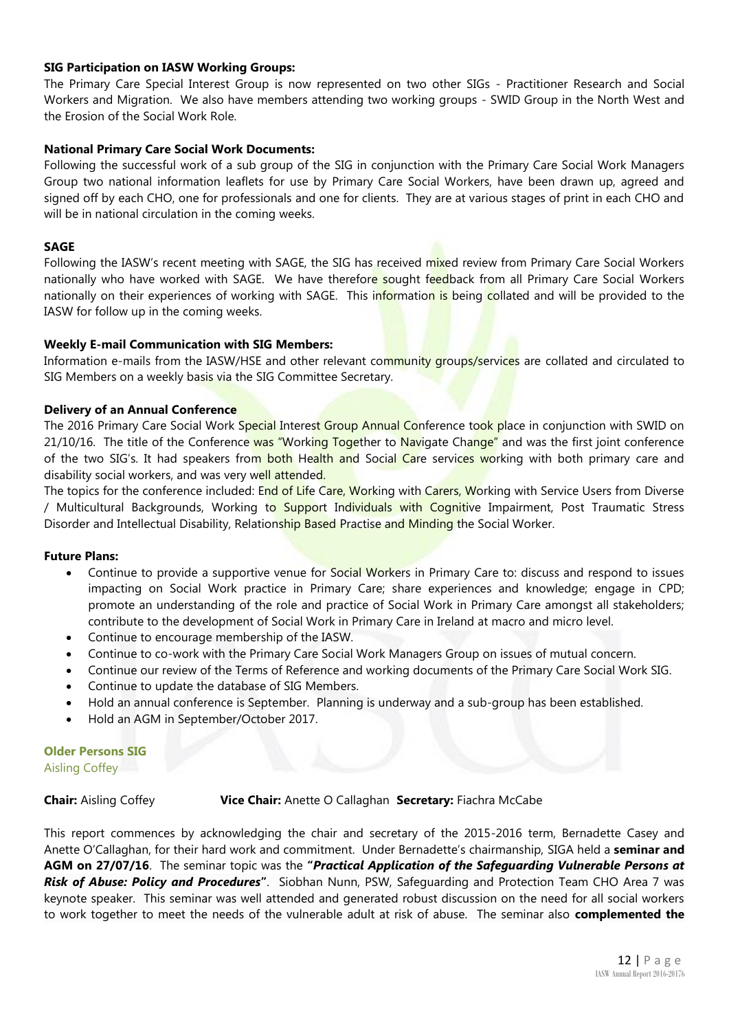#### **SIG Participation on IASW Working Groups:**

The Primary Care Special Interest Group is now represented on two other SIGs - Practitioner Research and Social Workers and Migration. We also have members attending two working groups - SWID Group in the North West and the Erosion of the Social Work Role.

#### **National Primary Care Social Work Documents:**

Following the successful work of a sub group of the SIG in conjunction with the Primary Care Social Work Managers Group two national information leaflets for use by Primary Care Social Workers, have been drawn up, agreed and signed off by each CHO, one for professionals and one for clients. They are at various stages of print in each CHO and will be in national circulation in the coming weeks.

#### **SAGE**

Following the IASW's recent meeting with SAGE, the SIG has received mixed review from Primary Care Social Workers nationally who have worked with SAGE. We have therefore sought feedback from all Primary Care Social Workers nationally on their experiences of working with SAGE. This information is being collated and will be provided to the IASW for follow up in the coming weeks.

#### **Weekly E-mail Communication with SIG Members:**

Information e-mails from the IASW/HSE and other relevant community groups/services are collated and circulated to SIG Members on a weekly basis via the SIG Committee Secretary.

#### **Delivery of an Annual Conference**

The 2016 Primary Care Social Work Special Interest Group Annual Conference took place in conjunction with SWID on 21/10/16. The title of the Conference was "Working Together to Navigate Change" and was the first joint conference of the two SIG's. It had speakers from both Health and Social Care services working with both primary care and disability social workers, and was very well attended.

The topics for the conference included: End of Life Care, Working with Carers, Working with Service Users from Diverse / Multicultural Backgrounds, Working to Support Individuals with Cognitive Impairment, Post Traumatic Stress Disorder and Intellectual Disability, Relationship Based Practise and Minding the Social Worker.

#### **Future Plans:**

- Continue to provide a supportive venue for Social Workers in Primary Care to: discuss and respond to issues impacting on Social Work practice in Primary Care; share experiences and knowledge; engage in CPD; promote an understanding of the role and practice of Social Work in Primary Care amongst all stakeholders; contribute to the development of Social Work in Primary Care in Ireland at macro and micro level.
- Continue to encourage membership of the IASW.
- Continue to co-work with the Primary Care Social Work Managers Group on issues of mutual concern.
- Continue our review of the Terms of Reference and working documents of the Primary Care Social Work SIG.
- Continue to update the database of SIG Members.
- Hold an annual conference is September. Planning is underway and a sub-group has been established.
- Hold an AGM in September/October 2017.

### **Older Persons SIG**

Aisling Coffey

#### **Chair:** Aisling Coffey **Vice Chair:** Anette O Callaghan **Secretary:** Fiachra McCabe

This report commences by acknowledging the chair and secretary of the 2015-2016 term, Bernadette Casey and Anette O'Callaghan, for their hard work and commitment. Under Bernadette's chairmanship, SIGA held a **seminar and AGM on 27/07/16**. The seminar topic was the **"***Practical Application of the Safeguarding Vulnerable Persons at Risk of Abuse: Policy and Procedures***"**. Siobhan Nunn, PSW, Safeguarding and Protection Team CHO Area 7 was keynote speaker. This seminar was well attended and generated robust discussion on the need for all social workers to work together to meet the needs of the vulnerable adult at risk of abuse. The seminar also **complemented the**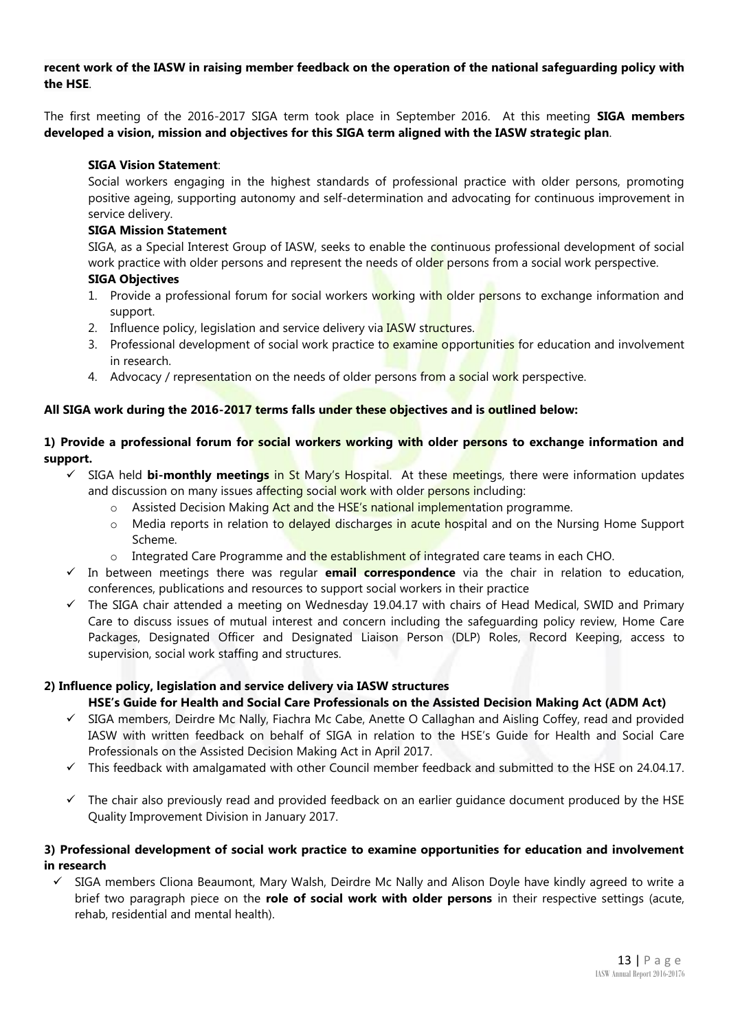#### **recent work of the IASW in raising member feedback on the operation of the national safeguarding policy with the HSE**.

The first meeting of the 2016-2017 SIGA term took place in September 2016. At this meeting **SIGA members developed a vision, mission and objectives for this SIGA term aligned with the IASW strategic plan**.

#### **SIGA Vision Statement**:

Social workers engaging in the highest standards of professional practice with older persons, promoting positive ageing, supporting autonomy and self-determination and advocating for continuous improvement in service delivery.

#### **SIGA Mission Statement**

SIGA, as a Special Interest Group of IASW, seeks to enable the continuous professional development of social work practice with older persons and represent the needs of older persons from a social work perspective. **SIGA Objectives** 

- 1. Provide a professional forum for social workers working with older persons to exchange information and support.
- 2. Influence policy, legislation and service delivery via **IASW** structures.
- 3. Professional development of social work practice to examine opportunities for education and involvement in research.
- 4. Advocacy / representation on the needs of older persons from a social work perspective.

#### **All SIGA work during the 2016-2017 terms falls under these objectives and is outlined below:**

#### **1) Provide a professional forum for social workers working with older persons to exchange information and support.**

- ✓ SIGA held **bi-monthly meetings** in St Mary's Hospital. At these meetings, there were information updates and discussion on many issues affecting social work with older persons including:
	- $\circ$  Assisted Decision Making Act and the HSE's national implementation programme.
	- o Media reports in relation to delayed discharges in acute hospital and on the Nursing Home Support Scheme.
	- $\circ$  Integrated Care Programme and the establishment of integrated care teams in each CHO.
- ✓ In between meetings there was regular **email correspondence** via the chair in relation to education, conferences, publications and resources to support social workers in their practice
- $\checkmark$  The SIGA chair attended a meeting on Wednesday 19.04.17 with chairs of Head Medical, SWID and Primary Care to discuss issues of mutual interest and concern including the safeguarding policy review, Home Care Packages, Designated Officer and Designated Liaison Person (DLP) Roles, Record Keeping, access to supervision, social work staffing and structures.

#### **2) Influence policy, legislation and service delivery via IASW structures**

#### **HSE's Guide for Health and Social Care Professionals on the Assisted Decision Making Act (ADM Act)**

- ✓ SIGA members, Deirdre Mc Nally, Fiachra Mc Cabe, Anette O Callaghan and Aisling Coffey, read and provided IASW with written feedback on behalf of SIGA in relation to the HSE's Guide for Health and Social Care Professionals on the Assisted Decision Making Act in April 2017.
- $\checkmark$  This feedback with amalgamated with other Council member feedback and submitted to the HSE on 24.04.17.
- $\checkmark$  The chair also previously read and provided feedback on an earlier guidance document produced by the HSE Quality Improvement Division in January 2017.

#### **3) Professional development of social work practice to examine opportunities for education and involvement in research**

✓ SIGA members Cliona Beaumont, Mary Walsh, Deirdre Mc Nally and Alison Doyle have kindly agreed to write a brief two paragraph piece on the **role of social work with older persons** in their respective settings (acute, rehab, residential and mental health).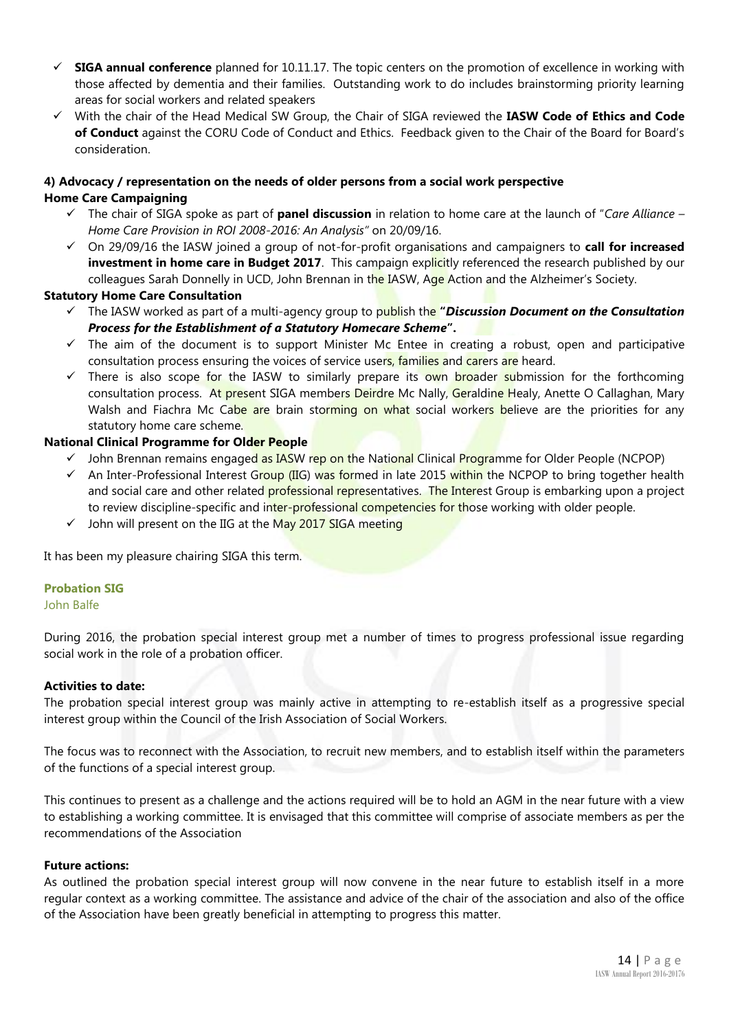- ✓ **SIGA annual conference** planned for 10.11.17. The topic centers on the promotion of excellence in working with those affected by dementia and their families. Outstanding work to do includes brainstorming priority learning areas for social workers and related speakers
- ✓ With the chair of the Head Medical SW Group, the Chair of SIGA reviewed the **IASW Code of Ethics and Code of Conduct** against the CORU Code of Conduct and Ethics. Feedback given to the Chair of the Board for Board's consideration.

## **4) Advocacy / representation on the needs of older persons from a social work perspective**

- **Home Care Campaigning**
	- ✓ The chair of SIGA spoke as part of **panel discussion** in relation to home care at the launch of "*Care Alliance – Home Care Provision in ROI 2008-2016: An Analysis"* on 20/09/16.
	- ✓ On 29/09/16 the IASW joined a group of not-for-profit organisations and campaigners to **call for increased investment in home care in Budget 2017**. This campaign explicitly referenced the research published by our colleagues Sarah Donnelly in UCD, John Brennan in the IASW, Age Action and the Alzheimer's Society.

#### **Statutory Home Care Consultation**

- ✓ The IASW worked as part of a multi-agency group to publish the **"***Discussion Document on the Consultation Process for the Establishment of a Statutory Homecare Scheme***".**
- $\checkmark$  The aim of the document is to support Minister Mc Entee in creating a robust, open and participative consultation process ensuring the voices of service users, families and carers are heard.
- ✓ There is also scope for the IASW to similarly prepare its own broader submission for the forthcoming consultation process. At present SIGA members Deirdre Mc Nally, Geraldine Healy, Anette O Callaghan, Mary Walsh and Fiachra Mc Cabe are brain storming on what social workers believe are the priorities for any statutory home care scheme.

#### **National Clinical Programme for Older People**

- ✓ John Brennan remains engaged as IASW rep on the National Clinical Programme for Older People (NCPOP)
- ✓ An Inter-Professional Interest Group (IIG) was formed in late 2015 within the NCPOP to bring together health and social care and other related **professional representatives. The Interest Group** is embarking upon a project to review discipline-specific and inter-professional competencies for those working with older people.
- ✓ John will present on the IIG at the May 2017 SIGA meeting

It has been my pleasure chairing SIGA this term.

#### **Probation SIG**

#### John Balfe

During 2016, the probation special interest group met a number of times to progress professional issue regarding social work in the role of a probation officer.

#### **Activities to date:**

The probation special interest group was mainly active in attempting to re-establish itself as a progressive special interest group within the Council of the Irish Association of Social Workers.

The focus was to reconnect with the Association, to recruit new members, and to establish itself within the parameters of the functions of a special interest group.

This continues to present as a challenge and the actions required will be to hold an AGM in the near future with a view to establishing a working committee. It is envisaged that this committee will comprise of associate members as per the recommendations of the Association

#### **Future actions:**

As outlined the probation special interest group will now convene in the near future to establish itself in a more regular context as a working committee. The assistance and advice of the chair of the association and also of the office of the Association have been greatly beneficial in attempting to progress this matter.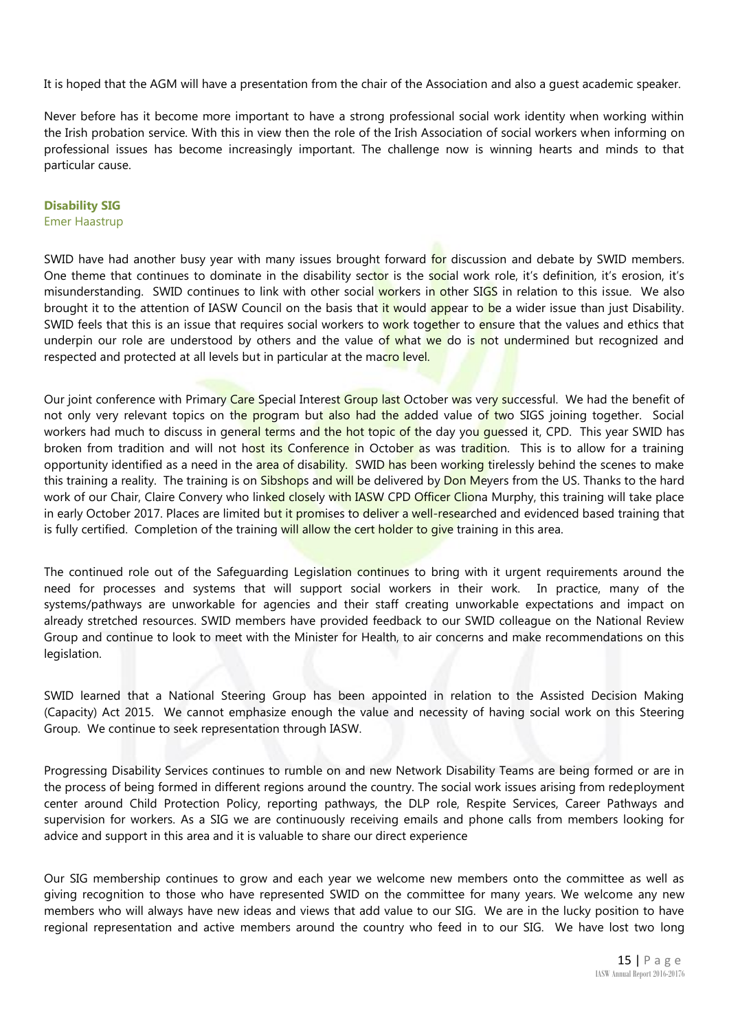It is hoped that the AGM will have a presentation from the chair of the Association and also a guest academic speaker.

Never before has it become more important to have a strong professional social work identity when working within the Irish probation service. With this in view then the role of the Irish Association of social workers when informing on professional issues has become increasingly important. The challenge now is winning hearts and minds to that particular cause.

#### **Disability SIG**

#### Emer Haastrup

SWID have had another busy year with many issues brought forward for discussion and debate by SWID members. One theme that continues to dominate in the disability sector is the social work role, it's definition, it's erosion, it's misunderstanding. SWID continues to link with other social workers in other SIGS in relation to this issue. We also brought it to the attention of IASW Council on the basis that it would appear to be a wider issue than just Disability. SWID feels that this is an issue that requires social workers to work together to ensure that the values and ethics that underpin our role are understood by others and the value of what we do is not undermined but recognized and respected and protected at all levels but in particular at the macro level.

Our joint conference with Primary Care Special Interest Group last October was very successful. We had the benefit of not only very relevant topics on the program but also had the added value of two SIGS joining together. Social workers had much to discuss in general terms and the hot topic of the day you quessed it, CPD. This year SWID has broken from tradition and will not host its Conference in October as was tradition. This is to allow for a training opportunity identified as a need in the area of disability. SWID has been working tirelessly behind the scenes to make this training a reality. The training is on Sibshops and will be delivered by Don Meyers from the US. Thanks to the hard work of our Chair, Claire Convery who linked closely with IASW CPD Officer Cliona Murphy, this training will take place in early October 2017. Places are limited but it promises to deliver a well-researched and evidenced based training that is fully certified. Completion of the training will allow the cert holder to give training in this area.

The continued role out of the Safeguarding Legislation continues to bring with it urgent requirements around the need for processes and systems that will support social workers in their work. In practice, many of the systems/pathways are unworkable for agencies and their staff creating unworkable expectations and impact on already stretched resources. SWID members have provided feedback to our SWID colleague on the National Review Group and continue to look to meet with the Minister for Health, to air concerns and make recommendations on this legislation.

SWID learned that a National Steering Group has been appointed in relation to the Assisted Decision Making (Capacity) Act 2015. We cannot emphasize enough the value and necessity of having social work on this Steering Group. We continue to seek representation through IASW.

Progressing Disability Services continues to rumble on and new Network Disability Teams are being formed or are in the process of being formed in different regions around the country. The social work issues arising from redeployment center around Child Protection Policy, reporting pathways, the DLP role, Respite Services, Career Pathways and supervision for workers. As a SIG we are continuously receiving emails and phone calls from members looking for advice and support in this area and it is valuable to share our direct experience

Our SIG membership continues to grow and each year we welcome new members onto the committee as well as giving recognition to those who have represented SWID on the committee for many years. We welcome any new members who will always have new ideas and views that add value to our SIG. We are in the lucky position to have regional representation and active members around the country who feed in to our SIG. We have lost two long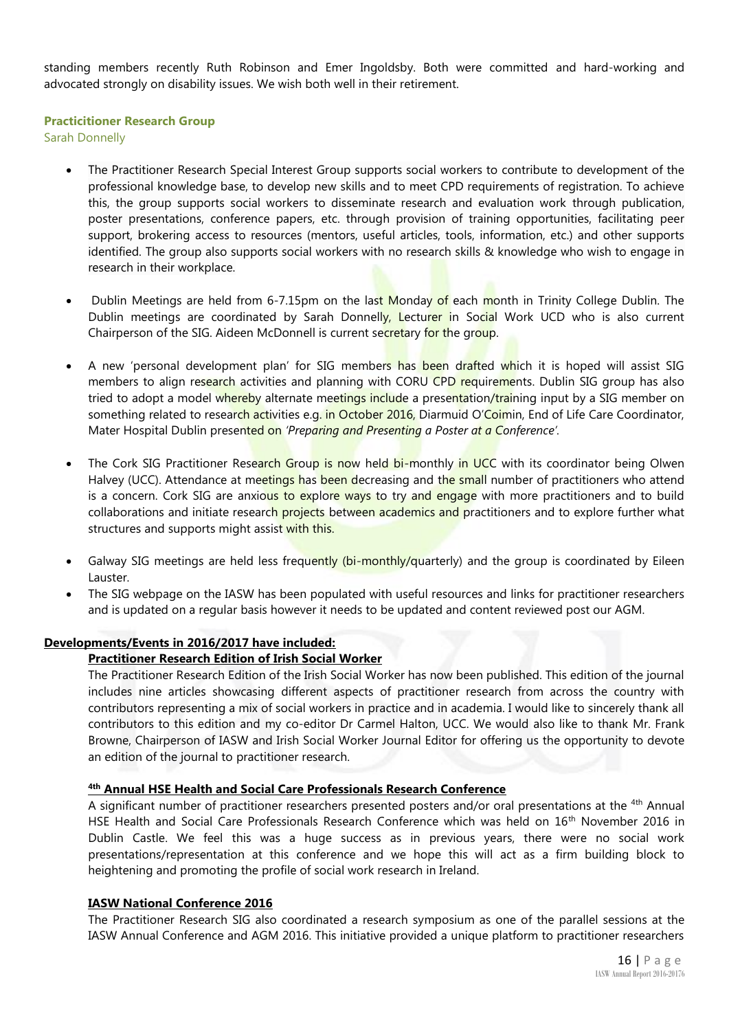standing members recently Ruth Robinson and Emer Ingoldsby. Both were committed and hard-working and advocated strongly on disability issues. We wish both well in their retirement.

#### **Practicitioner Research Group**

Sarah Donnelly

- The Practitioner Research Special Interest Group supports social workers to contribute to development of the professional knowledge base, to develop new skills and to meet CPD requirements of registration. To achieve this, the group supports social workers to disseminate research and evaluation work through publication, poster presentations, conference papers, etc. through provision of training opportunities, facilitating peer support, brokering access to resources (mentors, useful articles, tools, information, etc.) and other supports identified. The group also supports social workers with no research skills & knowledge who wish to engage in research in their workplace.
- Dublin Meetings are held from 6-7.15pm on the last Monday of each month in Trinity College Dublin. The Dublin meetings are coordinated by Sarah Donnelly, Lecturer in Social Work UCD who is also current Chairperson of the SIG. Aideen McDonnell is current secretary for the group.
- A new 'personal development plan' for SIG members has been drafted which it is hoped will assist SIG members to align research activities and planning with CORU CPD requirements. Dublin SIG group has also tried to adopt a model whereby alternate meetings include a presentation/training input by a SIG member on something related to research activities e.g. in October 2016, Diarmuid O'Coimin, End of Life Care Coordinator, Mater Hospital Dublin presented on *'Preparing and Presenting a Poster at a Conference'.*
- The Cork SIG Practitioner Research Group is now held bi-monthly in UCC with its coordinator being Olwen Halvey (UCC). Attendance at meetings has been decreasing and the small number of practitioners who attend is a concern. Cork SIG are anxious to explore ways to try and engage with more practitioners and to build collaborations and initiate research projects between academics and practitioners and to explore further what structures and supports might assist with this.
- Galway SIG meetings are held less frequently (bi-monthly/quarterly) and the group is coordinated by Eileen Lauster.
- The SIG webpage on the IASW has been populated with useful resources and links for practitioner researchers and is updated on a regular basis however it needs to be updated and content reviewed post our AGM.

#### **Developments/Events in 2016/2017 have included:**

#### **Practitioner Research Edition of Irish Social Worker**

The Practitioner Research Edition of the Irish Social Worker has now been published. This edition of the journal includes nine articles showcasing different aspects of practitioner research from across the country with contributors representing a mix of social workers in practice and in academia. I would like to sincerely thank all contributors to this edition and my co-editor Dr Carmel Halton, UCC. We would also like to thank Mr. Frank Browne, Chairperson of IASW and Irish Social Worker Journal Editor for offering us the opportunity to devote an edition of the journal to practitioner research.

#### **4th Annual HSE Health and Social Care Professionals Research Conference**

A significant number of practitioner researchers presented posters and/or oral presentations at the <sup>4th</sup> Annual HSE Health and Social Care Professionals Research Conference which was held on 16<sup>th</sup> November 2016 in Dublin Castle. We feel this was a huge success as in previous years, there were no social work presentations/representation at this conference and we hope this will act as a firm building block to heightening and promoting the profile of social work research in Ireland.

#### **IASW National Conference 2016**

The Practitioner Research SIG also coordinated a research symposium as one of the parallel sessions at the IASW Annual Conference and AGM 2016. This initiative provided a unique platform to practitioner researchers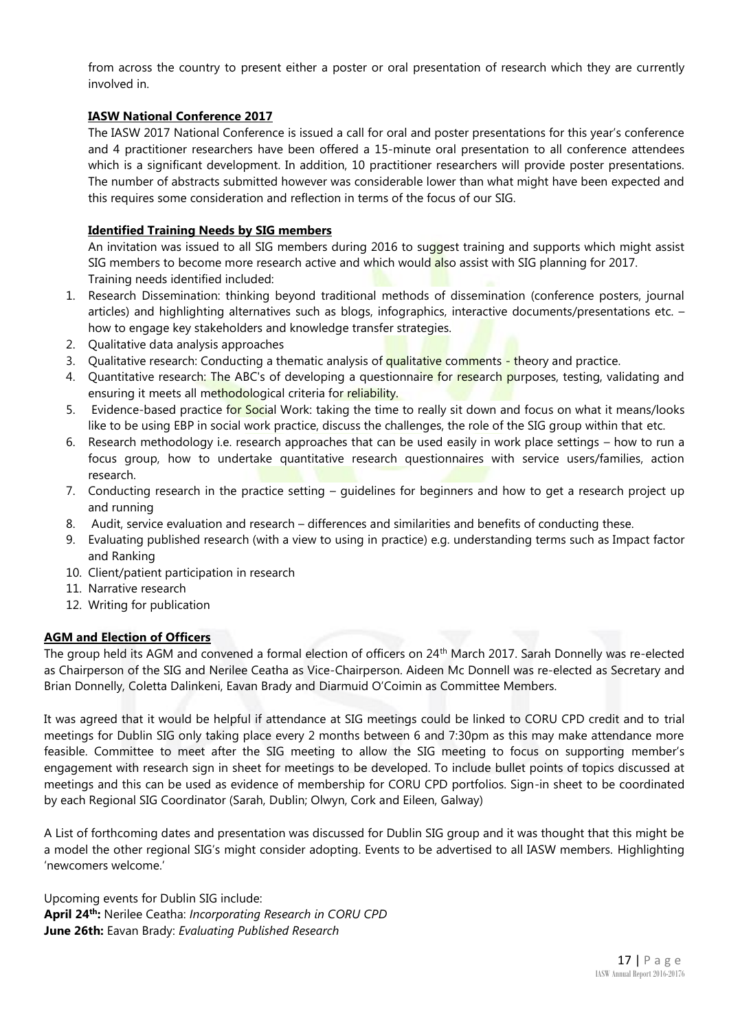from across the country to present either a poster or oral presentation of research which they are currently involved in.

#### **IASW National Conference 2017**

The IASW 2017 National Conference is issued a call for oral and poster presentations for this year's conference and 4 practitioner researchers have been offered a 15-minute oral presentation to all conference attendees which is a significant development. In addition, 10 practitioner researchers will provide poster presentations. The number of abstracts submitted however was considerable lower than what might have been expected and this requires some consideration and reflection in terms of the focus of our SIG.

#### **Identified Training Needs by SIG members**

An invitation was issued to all SIG members during 2016 to suggest training and supports which might assist SIG members to become more research active and which would also assist with SIG planning for 2017. Training needs identified included:

- 1. Research Dissemination: thinking beyond traditional methods of dissemination (conference posters, journal articles) and highlighting alternatives such as blogs, infographics, interactive documents/presentations etc. – how to engage key stakeholders and knowledge transfer strategies.
- 2. Qualitative data analysis approaches
- 3. Qualitative research: Conducting a thematic analysis of qualitative comments theory and practice.
- 4. Quantitative research: The ABC's of developing a questionnaire for research purposes, testing, validating and ensuring it meets all methodological criteria for reliability.
- 5. Evidence-based practice for Social Work: taking the time to really sit down and focus on what it means/looks like to be using EBP in social work practice, discuss the challenges, the role of the SIG group within that etc.
- 6. Research methodology i.e. research approaches that can be used easily in work place settings how to run a focus group, how to undertake quantitative research questionnaires with service users/families, action research.
- 7. Conducting research in the practice setting guidelines for beginners and how to get a research project up and running
- 8. Audit, service evaluation and research differences and similarities and benefits of conducting these.
- 9. Evaluating published research (with a view to using in practice) e.g. understanding terms such as Impact factor and Ranking
- 10. Client/patient participation in research
- 11. Narrative research
- 12. Writing for publication

#### **AGM and Election of Officers**

The group held its AGM and convened a formal election of officers on 24th March 2017. Sarah Donnelly was re-elected as Chairperson of the SIG and Nerilee Ceatha as Vice-Chairperson. Aideen Mc Donnell was re-elected as Secretary and Brian Donnelly, Coletta Dalinkeni, Eavan Brady and Diarmuid O'Coimin as Committee Members.

It was agreed that it would be helpful if attendance at SIG meetings could be linked to CORU CPD credit and to trial meetings for Dublin SIG only taking place every 2 months between 6 and 7:30pm as this may make attendance more feasible. Committee to meet after the SIG meeting to allow the SIG meeting to focus on supporting member's engagement with research sign in sheet for meetings to be developed. To include bullet points of topics discussed at meetings and this can be used as evidence of membership for CORU CPD portfolios. Sign-in sheet to be coordinated by each Regional SIG Coordinator (Sarah, Dublin; Olwyn, Cork and Eileen, Galway)

A List of forthcoming dates and presentation was discussed for Dublin SIG group and it was thought that this might be a model the other regional SIG's might consider adopting. Events to be advertised to all IASW members. Highlighting 'newcomers welcome.'

Upcoming events for Dublin SIG include: **April 24th:** Nerilee Ceatha: *Incorporating Research in CORU CPD* **June 26th:** Eavan Brady: *Evaluating Published Research*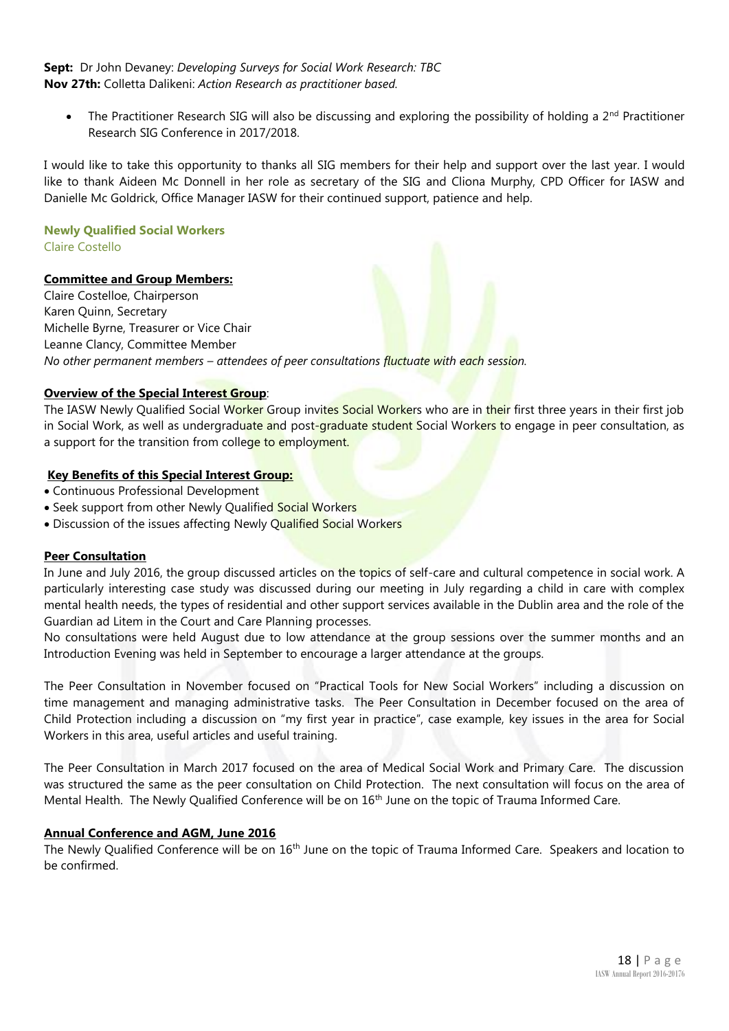#### **Sept:** Dr John Devaney: *Developing Surveys for Social Work Research: TBC* **Nov 27th:** Colletta Dalikeni: *Action Research as practitioner based.*

The Practitioner Research SIG will also be discussing and exploring the possibility of holding a  $2^{nd}$  Practitioner Research SIG Conference in 2017/2018.

I would like to take this opportunity to thanks all SIG members for their help and support over the last year. I would like to thank Aideen Mc Donnell in her role as secretary of the SIG and Cliona Murphy, CPD Officer for IASW and Danielle Mc Goldrick, Office Manager IASW for their continued support, patience and help.

#### **Newly Qualified Social Workers** Claire Costello

#### **Committee and Group Members:**

Claire Costelloe, Chairperson Karen Quinn, Secretary Michelle Byrne, Treasurer or Vice Chair Leanne Clancy, Committee Member *No other permanent members – attendees of peer consultations fluctuate with each session.* 

#### **Overview of the Special Interest Group**:

The IASW Newly Qualified Social Worker Group invites Social Workers who are in their first three years in their first job in Social Work, as well as undergraduate and post-graduate student Social Workers to engage in peer consultation, as a support for the transition from college to employment.

#### **Key Benefits of this Special Interest Group:**

- Continuous Professional Development
- Seek support from other Newly Qualified Social Workers
- Discussion of the issues affecting Newly Qualified Social Workers

#### **Peer Consultation**

In June and July 2016, the group discussed articles on the topics of self-care and cultural competence in social work. A particularly interesting case study was discussed during our meeting in July regarding a child in care with complex mental health needs, the types of residential and other support services available in the Dublin area and the role of the Guardian ad Litem in the Court and Care Planning processes.

No consultations were held August due to low attendance at the group sessions over the summer months and an Introduction Evening was held in September to encourage a larger attendance at the groups.

The Peer Consultation in November focused on "Practical Tools for New Social Workers" including a discussion on time management and managing administrative tasks. The Peer Consultation in December focused on the area of Child Protection including a discussion on "my first year in practice", case example, key issues in the area for Social Workers in this area, useful articles and useful training.

The Peer Consultation in March 2017 focused on the area of Medical Social Work and Primary Care. The discussion was structured the same as the peer consultation on Child Protection. The next consultation will focus on the area of Mental Health. The Newly Qualified Conference will be on 16<sup>th</sup> June on the topic of Trauma Informed Care.

#### **Annual Conference and AGM, June 2016**

The Newly Qualified Conference will be on 16<sup>th</sup> June on the topic of Trauma Informed Care. Speakers and location to be confirmed.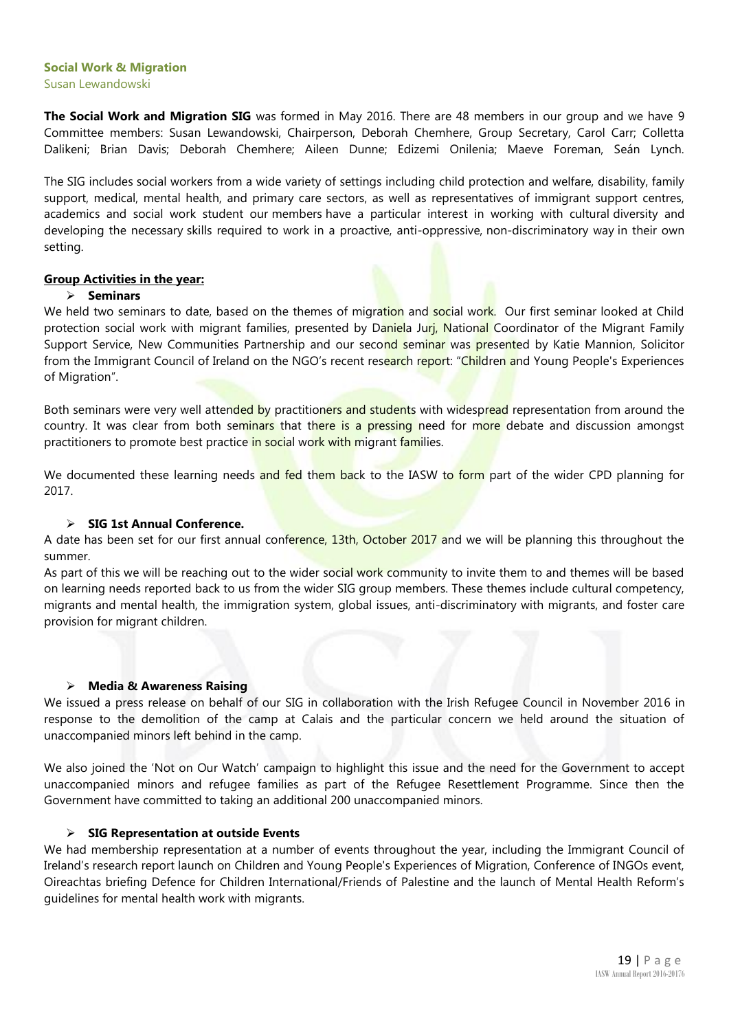#### **Social Work & Migration** Susan Lewandowski

**The Social Work and Migration SIG** was formed in May 2016. There are 48 members in our group and we have 9 Committee members: Susan Lewandowski, Chairperson, Deborah Chemhere, Group Secretary, Carol Carr; Colletta Dalikeni; Brian Davis; Deborah Chemhere; Aileen Dunne; Edizemi Onilenia; Maeve Foreman, Seán Lynch.

The SIG includes social workers from a wide variety of settings including child protection and welfare, disability, family support, medical, mental health, and primary care sectors, as well as representatives of immigrant support centres, academics and social work student our members have a particular interest in working with cultural diversity and developing the necessary skills required to work in a proactive, anti-oppressive, non-discriminatory way in their own setting.

#### **Group Activities in the year:**

#### ➢ **Seminars**

We held two seminars to date, based on the themes of migration and social work. Our first seminar looked at Child protection social work with migrant families, presented by Daniela Juri, National Coordinator of the Migrant Family Support Service, New Communities Partnership and our second seminar was presented by Katie Mannion, Solicitor from the Immigrant Council of Ireland on the NGO's recent research report: "Children and Young People's Experiences of Migration".

Both seminars were very well attended by practitioners and students with widespread representation from around the country. It was clear from both seminars that there is a pressing need for more debate and discussion amongst practitioners to promote best practice in social work with migrant families.

We documented these learning needs and fed them back to the IASW to form part of the wider CPD planning for 2017.

#### ➢ **SIG 1st Annual Conference.**

A date has been set for our first annual conference, 13th, October 2017 and we will be planning this throughout the summer.

As part of this we will be reaching out to the wider social work community to invite them to and themes will be based on learning needs reported back to us from the wider SIG group members. These themes include cultural competency, migrants and mental health, the immigration system, global issues, anti-discriminatory with migrants, and foster care provision for migrant children.

#### ➢ **Media & Awareness Raising**

We issued a press release on behalf of our SIG in collaboration with the Irish Refugee Council in November 2016 in response to the demolition of the camp at Calais and the particular concern we held around the situation of unaccompanied minors left behind in the camp.

We also joined the 'Not on Our Watch' campaign to highlight this issue and the need for the Government to accept unaccompanied minors and refugee families as part of the Refugee Resettlement Programme. Since then the Government have committed to taking an additional 200 unaccompanied minors.

#### ➢ **SIG Representation at outside Events**

We had membership representation at a number of events throughout the year, including the Immigrant Council of Ireland's research report launch on Children and Young People's Experiences of Migration, Conference of INGOs event, Oireachtas briefing Defence for Children International/Friends of Palestine and the launch of Mental Health Reform's guidelines for mental health work with migrants.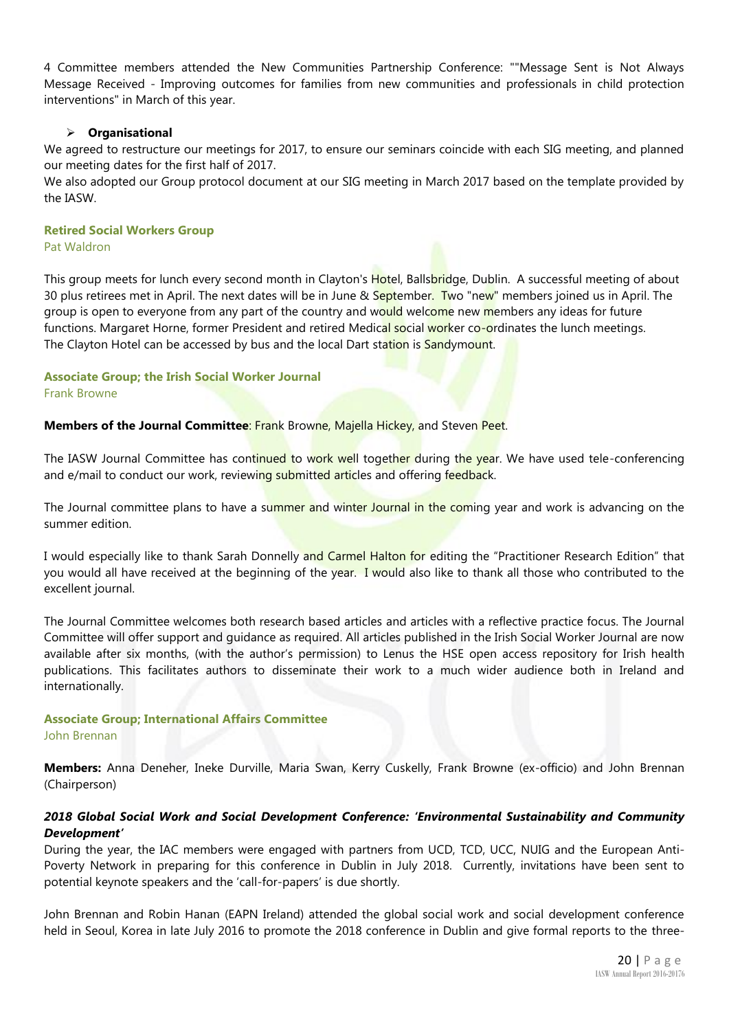4 Committee members attended the New Communities Partnership Conference: ""Message Sent is Not Always Message Received - Improving outcomes for families from new communities and professionals in child protection interventions" in March of this year.

#### ➢ **Organisational**

We agreed to restructure our meetings for 2017, to ensure our seminars coincide with each SIG meeting, and planned our meeting dates for the first half of 2017.

We also adopted our Group protocol document at our SIG meeting in March 2017 based on the template provided by the IASW.

#### **Retired Social Workers Group**

Pat Waldron

This group meets for lunch every second month in Clayton's Hotel, Ballsbridge, Dublin. A successful meeting of about 30 plus retirees met in April. The next dates will be in June & September. Two "new" members joined us in April. The group is open to everyone from any part of the country and would welcome new members any ideas for future functions. Margaret Horne, former President and retired Medical social worker co-ordinates the lunch meetings. The Clayton Hotel can be accessed by bus and the local Dart station is Sandymount.

#### **Associate Group; the Irish Social Worker Journal** Frank Browne

Members of the Journal Committee: Frank Browne, Majella Hickey, and Steven Peet.

The IASW Journal Committee has continued to work well together during the year. We have used tele-conferencing and e/mail to conduct our work, reviewing submitted articles and offering feedback.

The Journal committee plans to have a summer and winter Journal in the coming year and work is advancing on the summer edition.

I would especially like to thank Sarah Donnelly and Carmel Halton for editing the "Practitioner Research Edition" that you would all have received at the beginning of the year. I would also like to thank all those who contributed to the excellent journal.

The Journal Committee welcomes both research based articles and articles with a reflective practice focus. The Journal Committee will offer support and guidance as required. All articles published in the Irish Social Worker Journal are now available after six months, (with the author's permission) to Lenus the HSE open access repository for Irish health publications. This facilitates authors to disseminate their work to a much wider audience both in Ireland and internationally.

#### **Associate Group; International Affairs Committee** John Brennan

**Members:** Anna Deneher, Ineke Durville, Maria Swan, Kerry Cuskelly, Frank Browne (ex-officio) and John Brennan (Chairperson)

#### *2018 Global Social Work and Social Development Conference: 'Environmental Sustainability and Community Development'*

During the year, the IAC members were engaged with partners from UCD, TCD, UCC, NUIG and the European Anti-Poverty Network in preparing for this conference in Dublin in July 2018. Currently, invitations have been sent to potential keynote speakers and the 'call-for-papers' is due shortly.

John Brennan and Robin Hanan (EAPN Ireland) attended the global social work and social development conference held in Seoul, Korea in late July 2016 to promote the 2018 conference in Dublin and give formal reports to the three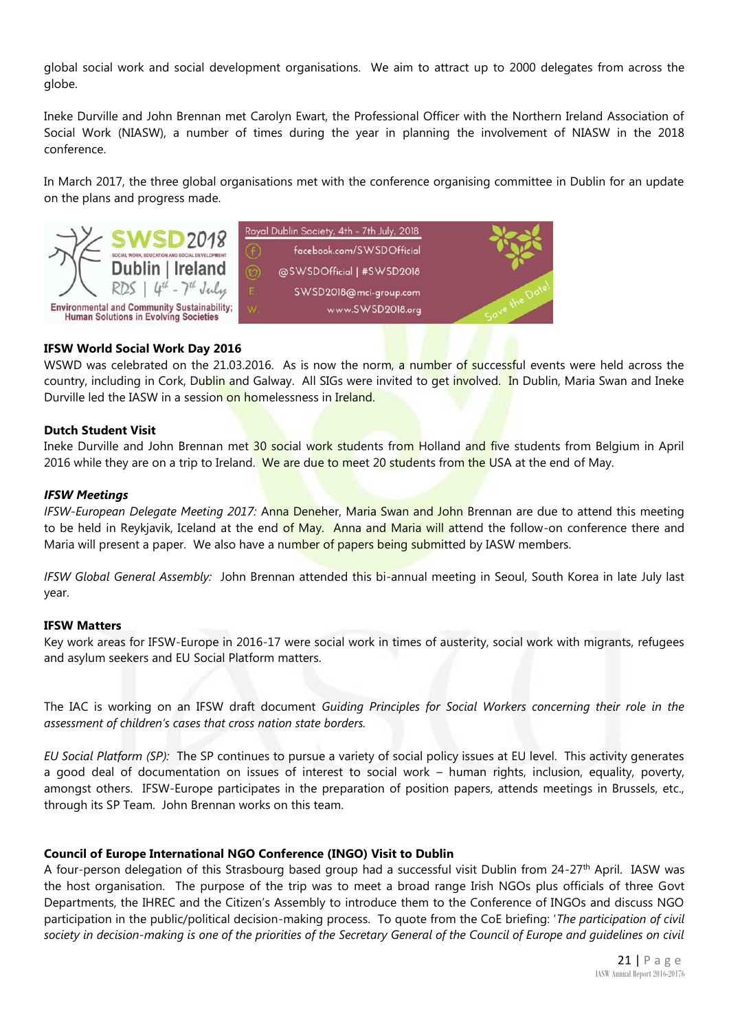global social work and social development organisations. We aim to attract up to 2000 delegates from across the globe.

Ineke Durville and John Brennan met Carolyn Ewart, the Professional Officer with the Northern Ireland Association of Social Work (NIASW), a number of times during the year in planning the involvement of NIASW in the 2018 conference.

In March 2017, the three global organisations met with the conference organising committee in Dublin for an update on the plans and progress made.



#### **IFSW World Social Work Day 2016**

WSWD was celebrated on the 21.03.2016. As is now the norm, a number of successful events were held across the country, including in Cork, Dublin and Galway. All SIGs were invited to get involved. In Dublin, Maria Swan and Ineke Durville led the IASW in a session on homelessness in Ireland.

#### **Dutch Student Visit**

Ineke Durville and John Brennan met 30 social work students from Holland and five students from Belgium in April 2016 while they are on a trip to Ireland. We are due to meet 20 students from the USA at the end of May.

#### *IFSW Meetings*

*IFSW-European Delegate Meeting 2017:* Anna Deneher, Maria Swan and John Brennan are due to attend this meeting to be held in Reykjavik, Iceland at the end of May. Anna and Maria will attend the follow-on conference there and Maria will present a paper. We also have a number of papers being submitted by IASW members.

*IFSW Global General Assembly:* John Brennan attended this bi-annual meeting in Seoul, South Korea in late July last year.

#### **IFSW Matters**

Key work areas for IFSW-Europe in 2016-17 were social work in times of austerity, social work with migrants, refugees and asylum seekers and EU Social Platform matters.

The IAC is working on an IFSW draft document *Guiding Principles for Social Workers concerning their role in the assessment of children's cases that cross nation state borders.*

*EU Social Platform (SP):* The SP continues to pursue a variety of social policy issues at EU level. This activity generates a good deal of documentation on issues of interest to social work – human rights, inclusion, equality, poverty, amongst others. IFSW-Europe participates in the preparation of position papers, attends meetings in Brussels, etc., through its SP Team. John Brennan works on this team.

#### **Council of Europe International NGO Conference (INGO) Visit to Dublin**

A four-person delegation of this Strasbourg based group had a successful visit Dublin from 24-27<sup>th</sup> April. IASW was the host organisation. The purpose of the trip was to meet a broad range Irish NGOs plus officials of three Govt Departments, the IHREC and the Citizen's Assembly to introduce them to the Conference of INGOs and discuss NGO participation in the public/political decision-making process. To quote from the CoE briefing: '*The participation of civil society in decision-making is one of the priorities of the Secretary General of the Council of Europe and guidelines on civil*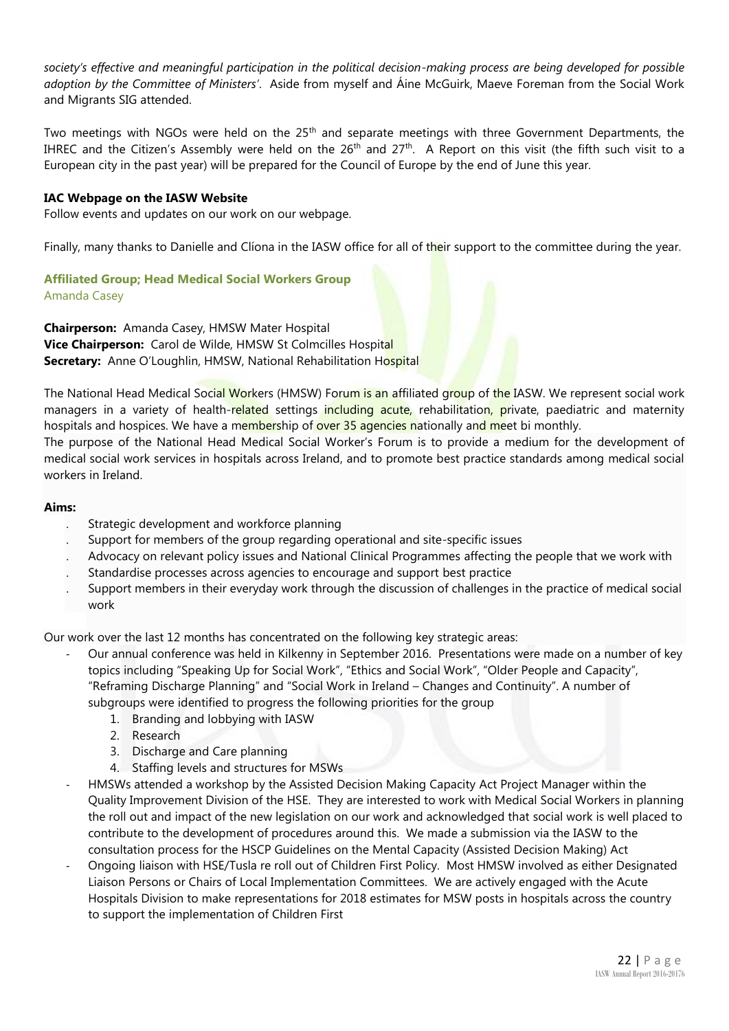society's effective and meaningful participation in the political decision-making process are being developed for possible *adoption by the Committee of Ministers'*. Aside from myself and Áine McGuirk, Maeve Foreman from the Social Work and Migrants SIG attended.

Two meetings with NGOs were held on the 25<sup>th</sup> and separate meetings with three Government Departments, the IHREC and the Citizen's Assembly were held on the 26<sup>th</sup> and 27<sup>th</sup>. A Report on this visit (the fifth such visit to a European city in the past year) will be prepared for the Council of Europe by the end of June this year.

#### **IAC Webpage on the IASW Website**

Follow events and updates on our work on our webpage.

Finally, many thanks to Danielle and Clíona in the IASW office for all of their support to the committee during the year.

#### **Affiliated Group; Head Medical Social Workers Group**

Amanda Casey

**Chairperson:** Amanda Casey, HMSW Mater Hospital **Vice Chairperson:** Carol de Wilde, HMSW St Colmcilles Hospital **Secretary:** Anne O'Loughlin, HMSW, National Rehabilitation Hospital

The National Head Medical Social Workers (HMSW) Forum is an affiliated group of the IASW. We represent social work managers in a variety of health-related settings including acute, rehabilitation, private, paediatric and maternity hospitals and hospices. We have a membership of over 35 agencies nationally and meet bi monthly.

The purpose of the National Head Medical Social Worker's Forum is to provide a medium for the development of medical social work services in hospitals across Ireland, and to promote best practice standards among medical social workers in Ireland.

#### **Aims:**

- Strategic development and workforce planning
- Support for members of the group regarding operational and site-specific issues
- Advocacy on relevant policy issues and National Clinical Programmes affecting the people that we work with
- Standardise processes across agencies to encourage and support best practice
- Support members in their everyday work through the discussion of challenges in the practice of medical social work

Our work over the last 12 months has concentrated on the following key strategic areas:

- Our annual conference was held in Kilkenny in September 2016. Presentations were made on a number of key topics including "Speaking Up for Social Work", "Ethics and Social Work", "Older People and Capacity", "Reframing Discharge Planning" and "Social Work in Ireland – Changes and Continuity". A number of subgroups were identified to progress the following priorities for the group
	- 1. Branding and lobbying with IASW
	- 2. Research
	- 3. Discharge and Care planning
	- 4. Staffing levels and structures for MSWs
- HMSWs attended a workshop by the Assisted Decision Making Capacity Act Project Manager within the Quality Improvement Division of the HSE. They are interested to work with Medical Social Workers in planning the roll out and impact of the new legislation on our work and acknowledged that social work is well placed to contribute to the development of procedures around this. We made a submission via the IASW to the consultation process for the HSCP Guidelines on the Mental Capacity (Assisted Decision Making) Act
- Ongoing liaison with HSE/Tusla re roll out of Children First Policy. Most HMSW involved as either Designated Liaison Persons or Chairs of Local Implementation Committees. We are actively engaged with the Acute Hospitals Division to make representations for 2018 estimates for MSW posts in hospitals across the country to support the implementation of Children First